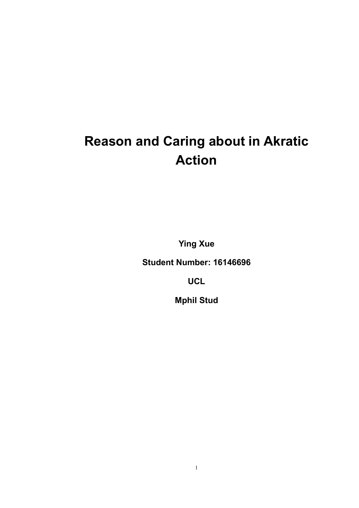# Reason and Caring about in Akratic Action

Ying Xue

Student Number: 16146696

**UCL** 

Mphil Stud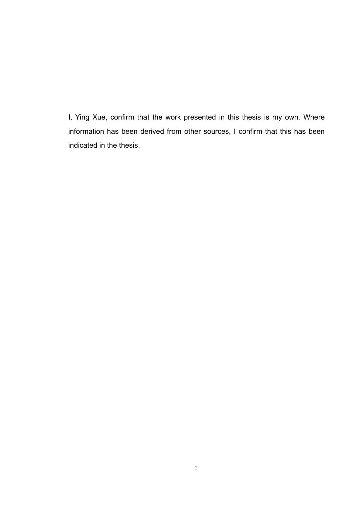I, Ying Xue, confirm that the work presented in this thesis is my own. Where information has been derived from other sources, I confirm that this has been indicated in the thesis.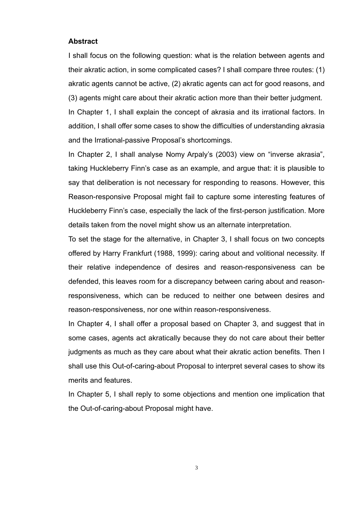#### **Abstract**

I shall focus on the following question: what is the relation between agents and their akratic action, in some complicated cases? I shall compare three routes: (1) akratic agents cannot be active, (2) akratic agents can act for good reasons, and (3) agents might care about their akratic action more than their better judgment. In Chapter 1, I shall explain the concept of akrasia and its irrational factors. In addition, I shall offer some cases to show the difficulties of understanding akrasia and the Irrational-passive Proposal's shortcomings.

In Chapter 2, I shall analyse Nomy Arpaly's (2003) view on "inverse akrasia", taking Huckleberry Finn's case as an example, and argue that: it is plausible to say that deliberation is not necessary for responding to reasons. However, this Reason-responsive Proposal might fail to capture some interesting features of Huckleberry Finn's case, especially the lack of the first-person justification. More details taken from the novel might show us an alternate interpretation.

To set the stage for the alternative, in Chapter 3, I shall focus on two concepts offered by Harry Frankfurt (1988, 1999): caring about and volitional necessity. If their relative independence of desires and reason-responsiveness can be defended, this leaves room for a discrepancy between caring about and reasonresponsiveness, which can be reduced to neither one between desires and reason-responsiveness, nor one within reason-responsiveness.

In Chapter 4, I shall offer a proposal based on Chapter 3, and suggest that in some cases, agents act akratically because they do not care about their better judgments as much as they care about what their akratic action benefits. Then I shall use this Out-of-caring-about Proposal to interpret several cases to show its merits and features.

In Chapter 5, I shall reply to some objections and mention one implication that the Out-of-caring-about Proposal might have.

3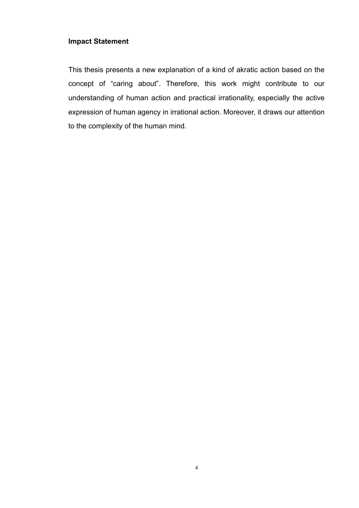# **Impact Statement**

This thesis presents a new explanation of a kind of akratic action based on the concept of "caring about". Therefore, this work might contribute to our understanding of human action and practical irrationality, especially the active expression of human agency in irrational action. Moreover, it draws our attention to the complexity of the human mind.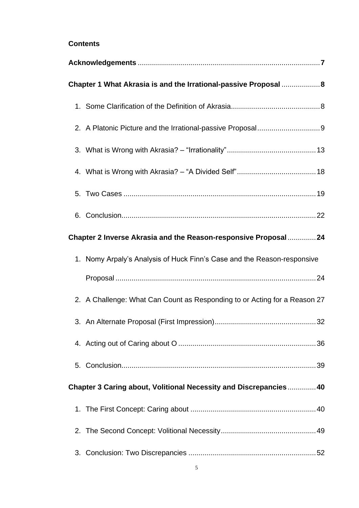# **Contents**

| Chapter 1 What Akrasia is and the Irrational-passive Proposal  8 |                                                                           |  |  |
|------------------------------------------------------------------|---------------------------------------------------------------------------|--|--|
|                                                                  |                                                                           |  |  |
|                                                                  |                                                                           |  |  |
|                                                                  |                                                                           |  |  |
|                                                                  |                                                                           |  |  |
|                                                                  |                                                                           |  |  |
|                                                                  |                                                                           |  |  |
| Chapter 2 Inverse Akrasia and the Reason-responsive Proposal  24 |                                                                           |  |  |
|                                                                  | 1. Nomy Arpaly's Analysis of Huck Finn's Case and the Reason-responsive   |  |  |
|                                                                  |                                                                           |  |  |
|                                                                  | 2. A Challenge: What Can Count as Responding to or Acting for a Reason 27 |  |  |
|                                                                  |                                                                           |  |  |
|                                                                  |                                                                           |  |  |
|                                                                  |                                                                           |  |  |
|                                                                  | Chapter 3 Caring about, Volitional Necessity and Discrepancies 40         |  |  |
|                                                                  |                                                                           |  |  |
|                                                                  |                                                                           |  |  |
|                                                                  |                                                                           |  |  |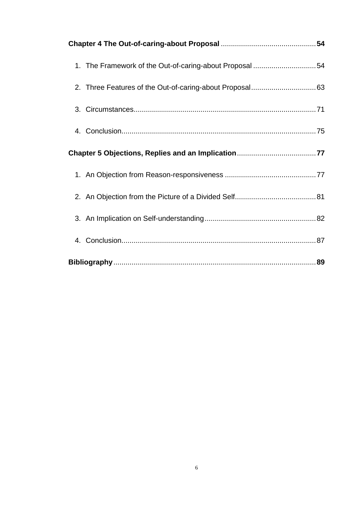|  | 1. The Framework of the Out-of-caring-about Proposal 54 |  |  |
|--|---------------------------------------------------------|--|--|
|  |                                                         |  |  |
|  |                                                         |  |  |
|  |                                                         |  |  |
|  |                                                         |  |  |
|  |                                                         |  |  |
|  |                                                         |  |  |
|  |                                                         |  |  |
|  |                                                         |  |  |
|  |                                                         |  |  |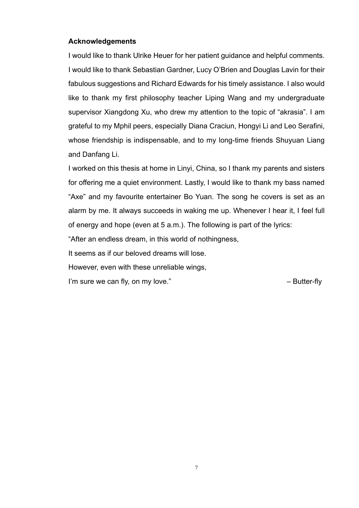# **Acknowledgements**

I would like to thank Ulrike Heuer for her patient guidance and helpful comments. I would like to thank Sebastian Gardner, Lucy O'Brien and Douglas Lavin for their fabulous suggestions and Richard Edwards for his timely assistance. I also would like to thank my first philosophy teacher Liping Wang and my undergraduate supervisor Xiangdong Xu, who drew my attention to the topic of "akrasia". I am grateful to my Mphil peers, especially Diana Craciun, Hongyi Li and Leo Serafini, whose friendship is indispensable, and to my long-time friends Shuyuan Liang and Danfang Li.

I worked on this thesis at home in Linyi, China, so I thank my parents and sisters for offering me a quiet environment. Lastly, I would like to thank my bass named "Axe" and my favourite entertainer Bo Yuan. The song he covers is set as an alarm by me. It always succeeds in waking me up. Whenever I hear it, I feel full of energy and hope (even at 5 a.m.). The following is part of the lyrics:

"After an endless dream, in this world of nothingness,

It seems as if our beloved dreams will lose.

However, even with these unreliable wings,

I'm sure we can fly, on my love." The same state of the set of the Butter-fly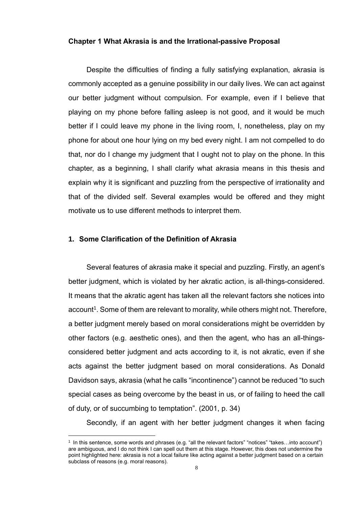#### **Chapter 1 What Akrasia is and the Irrational-passive Proposal**

Despite the difficulties of finding a fully satisfying explanation, akrasia is commonly accepted as a genuine possibility in our daily lives. We can act against our better judgment without compulsion. For example, even if I believe that playing on my phone before falling asleep is not good, and it would be much better if I could leave my phone in the living room, I, nonetheless, play on my phone for about one hour lying on my bed every night. I am not compelled to do that, nor do I change my judgment that I ought not to play on the phone. In this chapter, as a beginning, I shall clarify what akrasia means in this thesis and explain why it is significant and puzzling from the perspective of irrationality and that of the divided self. Several examples would be offered and they might motivate us to use different methods to interpret them.

#### **1. Some Clarification of the Definition of Akrasia**

Several features of akrasia make it special and puzzling. Firstly, an agent's better judgment, which is violated by her akratic action, is all-things-considered. It means that the akratic agent has taken all the relevant factors she notices into account<sup>1</sup>. Some of them are relevant to morality, while others might not. Therefore, a better judgment merely based on moral considerations might be overridden by other factors (e.g. aesthetic ones), and then the agent, who has an all-thingsconsidered better judgment and acts according to it, is not akratic, even if she acts against the better judgment based on moral considerations. As Donald Davidson says, akrasia (what he calls "incontinence") cannot be reduced "to such special cases as being overcome by the beast in us, or of failing to heed the call of duty, or of succumbing to temptation". (2001, p. 34)

Secondly, if an agent with her better judgment changes it when facing

<sup>1</sup> In this sentence, some words and phrases (e.g. "all the relevant factors" "notices" "takes…into account") are ambiguous, and I do not think I can spell out them at this stage. However, this does not undermine the point highlighted here: akrasia is not a local failure like acting against a better judgment based on a certain subclass of reasons (e.g. moral reasons).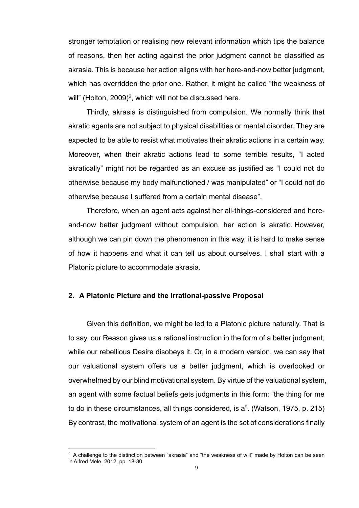stronger temptation or realising new relevant information which tips the balance of reasons, then her acting against the prior judgment cannot be classified as akrasia. This is because her action aligns with her here-and-now better judgment, which has overridden the prior one. Rather, it might be called "the weakness of will" (Holton, 2009)<sup>2</sup>, which will not be discussed here.

Thirdly, akrasia is distinguished from compulsion. We normally think that akratic agents are not subject to physical disabilities or mental disorder. They are expected to be able to resist what motivates their akratic actions in a certain way. Moreover, when their akratic actions lead to some terrible results, "I acted akratically" might not be regarded as an excuse as justified as "I could not do otherwise because my body malfunctioned / was manipulated" or "I could not do otherwise because I suffered from a certain mental disease".

Therefore, when an agent acts against her all-things-considered and hereand-now better judgment without compulsion, her action is akratic. However, although we can pin down the phenomenon in this way, it is hard to make sense of how it happens and what it can tell us about ourselves. I shall start with a Platonic picture to accommodate akrasia.

# **2. A Platonic Picture and the Irrational-passive Proposal**

Given this definition, we might be led to a Platonic picture naturally. That is to say, our Reason gives us a rational instruction in the form of a better judgment, while our rebellious Desire disobeys it. Or, in a modern version, we can say that our valuational system offers us a better judgment, which is overlooked or overwhelmed by our blind motivational system. By virtue of the valuational system, an agent with some factual beliefs gets judgments in this form: "the thing for me to do in these circumstances, all things considered, is a". (Watson, 1975, p. 215) By contrast, the motivational system of an agent is the set of considerations finally

 $2$  A challenge to the distinction between "akrasia" and "the weakness of will" made by Holton can be seen in Alfred Mele, 2012, pp. 18-30.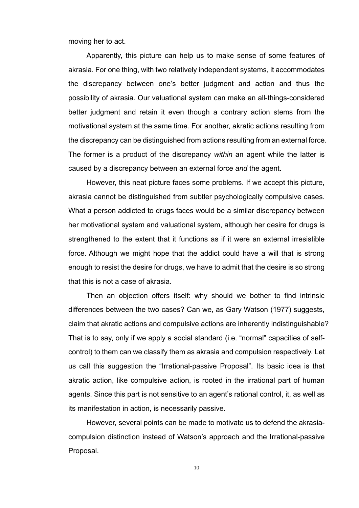moving her to act.

Apparently, this picture can help us to make sense of some features of akrasia. For one thing, with two relatively independent systems, it accommodates the discrepancy between one's better judgment and action and thus the possibility of akrasia. Our valuational system can make an all-things-considered better judgment and retain it even though a contrary action stems from the motivational system at the same time. For another, akratic actions resulting from the discrepancy can be distinguished from actions resulting from an external force. The former is a product of the discrepancy *within* an agent while the latter is caused by a discrepancy between an external force *and* the agent.

However, this neat picture faces some problems. If we accept this picture, akrasia cannot be distinguished from subtler psychologically compulsive cases. What a person addicted to drugs faces would be a similar discrepancy between her motivational system and valuational system, although her desire for drugs is strengthened to the extent that it functions as if it were an external irresistible force. Although we might hope that the addict could have a will that is strong enough to resist the desire for drugs, we have to admit that the desire is so strong that this is not a case of akrasia.

Then an objection offers itself: why should we bother to find intrinsic differences between the two cases? Can we, as Gary Watson (1977) suggests, claim that akratic actions and compulsive actions are inherently indistinguishable? That is to say, only if we apply a social standard (i.e. "normal" capacities of selfcontrol) to them can we classify them as akrasia and compulsion respectively. Let us call this suggestion the "Irrational-passive Proposal". Its basic idea is that akratic action, like compulsive action, is rooted in the irrational part of human agents. Since this part is not sensitive to an agent's rational control, it, as well as its manifestation in action, is necessarily passive.

However, several points can be made to motivate us to defend the akrasiacompulsion distinction instead of Watson's approach and the Irrational-passive Proposal.

10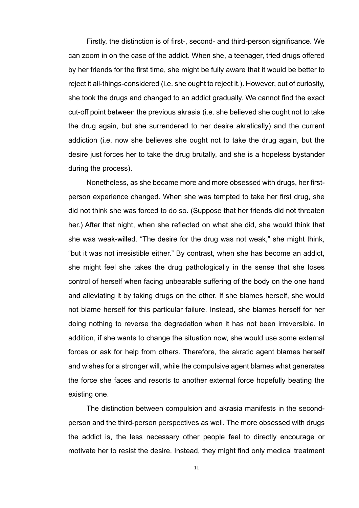Firstly, the distinction is of first-, second- and third-person significance. We can zoom in on the case of the addict. When she, a teenager, tried drugs offered by her friends for the first time, she might be fully aware that it would be better to reject it all-things-considered (i.e. she ought to reject it.). However, out of curiosity, she took the drugs and changed to an addict gradually. We cannot find the exact cut-off point between the previous akrasia (i.e. she believed she ought not to take the drug again, but she surrendered to her desire akratically) and the current addiction (i.e. now she believes she ought not to take the drug again, but the desire just forces her to take the drug brutally, and she is a hopeless bystander during the process).

Nonetheless, as she became more and more obsessed with drugs, her firstperson experience changed. When she was tempted to take her first drug, she did not think she was forced to do so. (Suppose that her friends did not threaten her.) After that night, when she reflected on what she did, she would think that she was weak-willed. "The desire for the drug was not weak," she might think, "but it was not irresistible either." By contrast, when she has become an addict, she might feel she takes the drug pathologically in the sense that she loses control of herself when facing unbearable suffering of the body on the one hand and alleviating it by taking drugs on the other. If she blames herself, she would not blame herself for this particular failure. Instead, she blames herself for her doing nothing to reverse the degradation when it has not been irreversible. In addition, if she wants to change the situation now, she would use some external forces or ask for help from others. Therefore, the akratic agent blames herself and wishes for a stronger will, while the compulsive agent blames what generates the force she faces and resorts to another external force hopefully beating the existing one.

The distinction between compulsion and akrasia manifests in the secondperson and the third-person perspectives as well. The more obsessed with drugs the addict is, the less necessary other people feel to directly encourage or motivate her to resist the desire. Instead, they might find only medical treatment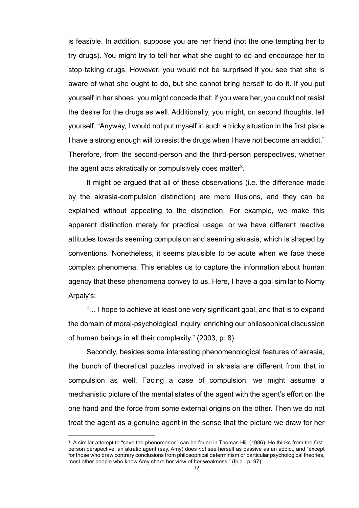is feasible. In addition, suppose you are her friend (not the one tempting her to try drugs). You might try to tell her what she ought to do and encourage her to stop taking drugs. However, you would not be surprised if you see that she is aware of what she ought to do, but she cannot bring herself to do it. If you put yourself in her shoes, you might concede that: if you were her, you could not resist the desire for the drugs as well. Additionally, you might, on second thoughts, tell yourself: "Anyway, I would not put myself in such a tricky situation in the first place. I have a strong enough will to resist the drugs when I have not become an addict." Therefore, from the second-person and the third-person perspectives, whether the agent acts akratically or compulsively does matter<sup>3</sup>.

It might be argued that all of these observations (i.e. the difference made by the akrasia-compulsion distinction) are mere illusions, and they can be explained without appealing to the distinction. For example, we make this apparent distinction merely for practical usage, or we have different reactive attitudes towards seeming compulsion and seeming akrasia, which is shaped by conventions. Nonetheless, it seems plausible to be acute when we face these complex phenomena. This enables us to capture the information about human agency that these phenomena convey to us. Here, I have a goal similar to Nomy Arpaly's:

"… I hope to achieve at least one very significant goal, and that is to expand the domain of moral-psychological inquiry, enriching our philosophical discussion of human beings in all their complexity." (2003, p. 8)

Secondly, besides some interesting phenomenological features of akrasia, the bunch of theoretical puzzles involved in akrasia are different from that in compulsion as well. Facing a case of compulsion, we might assume a mechanistic picture of the mental states of the agent with the agent's effort on the one hand and the force from some external origins on the other. Then we do not treat the agent as a genuine agent in the sense that the picture we draw for her

 $3$  A similar attempt to "save the phenomenon" can be found in Thomas Hill (1986). He thinks from the firstperson perspective, an akratic agent (say, Amy) does *not* see herself as passive as an addict, and "except for those who draw contrary conclusions from philosophical determinism or particular psychological theories, most other people who know Amy share her view of her weakness." (Ibid., p. 97)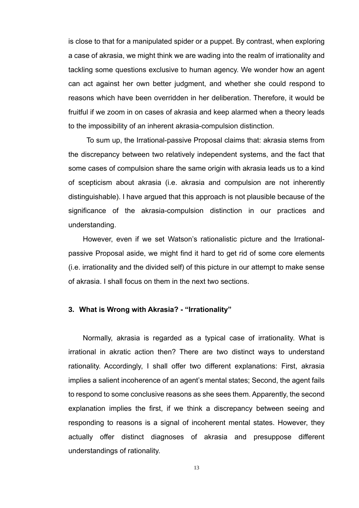is close to that for a manipulated spider or a puppet. By contrast, when exploring a case of akrasia, we might think we are wading into the realm of irrationality and tackling some questions exclusive to human agency. We wonder how an agent can act against her own better judgment, and whether she could respond to reasons which have been overridden in her deliberation. Therefore, it would be fruitful if we zoom in on cases of akrasia and keep alarmed when a theory leads to the impossibility of an inherent akrasia-compulsion distinction.

 To sum up, the Irrational-passive Proposal claims that: akrasia stems from the discrepancy between two relatively independent systems, and the fact that some cases of compulsion share the same origin with akrasia leads us to a kind of scepticism about akrasia (i.e. akrasia and compulsion are not inherently distinguishable). I have argued that this approach is not plausible because of the significance of the akrasia-compulsion distinction in our practices and understanding.

However, even if we set Watson's rationalistic picture and the Irrationalpassive Proposal aside, we might find it hard to get rid of some core elements (i.e. irrationality and the divided self) of this picture in our attempt to make sense of akrasia. I shall focus on them in the next two sections.

# **3. What is Wrong with Akrasia? - "Irrationality"**

Normally, akrasia is regarded as a typical case of irrationality. What is irrational in akratic action then? There are two distinct ways to understand rationality. Accordingly, I shall offer two different explanations: First, akrasia implies a salient incoherence of an agent's mental states; Second, the agent fails to respond to some conclusive reasons as she sees them. Apparently, the second explanation implies the first, if we think a discrepancy between seeing and responding to reasons is a signal of incoherent mental states. However, they actually offer distinct diagnoses of akrasia and presuppose different understandings of rationality.

13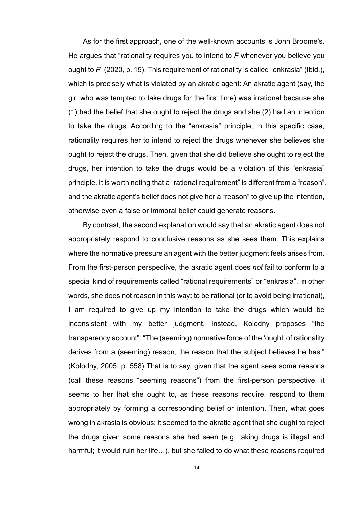As for the first approach, one of the well-known accounts is John Broome's. He argues that "rationality requires you to intend to *F* whenever you believe you ought to *F*" (2020, p. 15). This requirement of rationality is called "enkrasia" (Ibid.), which is precisely what is violated by an akratic agent: An akratic agent (say, the girl who was tempted to take drugs for the first time) was irrational because she (1) had the belief that she ought to reject the drugs and she (2) had an intention to take the drugs. According to the "enkrasia" principle, in this specific case, rationality requires her to intend to reject the drugs whenever she believes she ought to reject the drugs. Then, given that she did believe she ought to reject the drugs, her intention to take the drugs would be a violation of this "enkrasia" principle. It is worth noting that a "rational requirement" is different from a "reason", and the akratic agent's belief does not give her a "reason" to give up the intention, otherwise even a false or immoral belief could generate reasons.

By contrast, the second explanation would say that an akratic agent does not appropriately respond to conclusive reasons as she sees them. This explains where the normative pressure an agent with the better judgment feels arises from. From the first-person perspective, the akratic agent does *not* fail to conform to a special kind of requirements called "rational requirements" or "enkrasia". In other words, she does not reason in this way: to be rational (or to avoid being irrational), I am required to give up my intention to take the drugs which would be inconsistent with my better judgment. Instead, Kolodny proposes "the transparency account": "The (seeming) normative force of the 'ought' of rationality derives from a (seeming) reason, the reason that the subject believes he has." (Kolodny, 2005, p. 558) That is to say, given that the agent sees some reasons (call these reasons "seeming reasons") from the first-person perspective, it seems to her that she ought to, as these reasons require, respond to them appropriately by forming a corresponding belief or intention. Then, what goes wrong in akrasia is obvious: it seemed to the akratic agent that she ought to reject the drugs given some reasons she had seen (e.g. taking drugs is illegal and harmful; it would ruin her life…), but she failed to do what these reasons required

14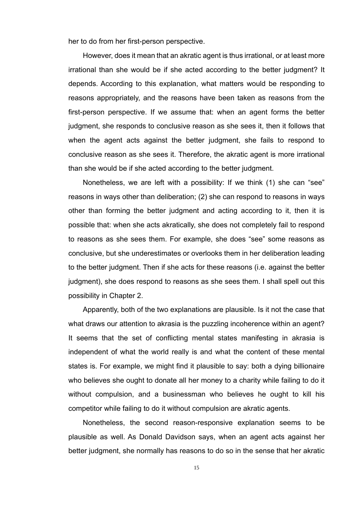her to do from her first-person perspective.

However, does it mean that an akratic agent is thus irrational, or at least more irrational than she would be if she acted according to the better judgment? It depends. According to this explanation, what matters would be responding to reasons appropriately, and the reasons have been taken as reasons from the first-person perspective. If we assume that: when an agent forms the better judgment, she responds to conclusive reason as she sees it, then it follows that when the agent acts against the better judgment, she fails to respond to conclusive reason as she sees it. Therefore, the akratic agent is more irrational than she would be if she acted according to the better judgment.

Nonetheless, we are left with a possibility: If we think (1) she can "see" reasons in ways other than deliberation; (2) she can respond to reasons in ways other than forming the better judgment and acting according to it, then it is possible that: when she acts akratically, she does not completely fail to respond to reasons as she sees them. For example, she does "see" some reasons as conclusive, but she underestimates or overlooks them in her deliberation leading to the better judgment. Then if she acts for these reasons (i.e. against the better judgment), she does respond to reasons as she sees them. I shall spell out this possibility in Chapter 2.

Apparently, both of the two explanations are plausible. Is it not the case that what draws our attention to akrasia is the puzzling incoherence within an agent? It seems that the set of conflicting mental states manifesting in akrasia is independent of what the world really is and what the content of these mental states is. For example, we might find it plausible to say: both a dying billionaire who believes she ought to donate all her money to a charity while failing to do it without compulsion, and a businessman who believes he ought to kill his competitor while failing to do it without compulsion are akratic agents.

Nonetheless, the second reason-responsive explanation seems to be plausible as well. As Donald Davidson says, when an agent acts against her better judgment, she normally has reasons to do so in the sense that her akratic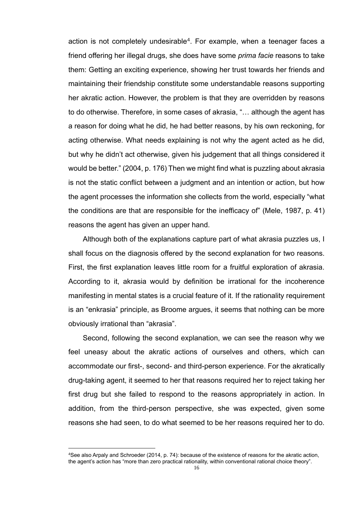action is not completely undesirable<sup>4</sup>. For example, when a teenager faces a friend offering her illegal drugs, she does have some *prima facie* reasons to take them: Getting an exciting experience, showing her trust towards her friends and maintaining their friendship constitute some understandable reasons supporting her akratic action. However, the problem is that they are overridden by reasons to do otherwise. Therefore, in some cases of akrasia, "… although the agent has a reason for doing what he did, he had better reasons, by his own reckoning, for acting otherwise. What needs explaining is not why the agent acted as he did, but why he didn't act otherwise, given his judgement that all things considered it would be better." (2004, p. 176) Then we might find what is puzzling about akrasia is not the static conflict between a judgment and an intention or action, but how the agent processes the information she collects from the world, especially "what the conditions are that are responsible for the inefficacy of" (Mele, 1987, p. 41) reasons the agent has given an upper hand.

Although both of the explanations capture part of what akrasia puzzles us, I shall focus on the diagnosis offered by the second explanation for two reasons. First, the first explanation leaves little room for a fruitful exploration of akrasia. According to it, akrasia would by definition be irrational for the incoherence manifesting in mental states is a crucial feature of it. If the rationality requirement is an "enkrasia" principle, as Broome argues, it seems that nothing can be more obviously irrational than "akrasia".

Second, following the second explanation, we can see the reason why we feel uneasy about the akratic actions of ourselves and others, which can accommodate our first-, second- and third-person experience. For the akratically drug-taking agent, it seemed to her that reasons required her to reject taking her first drug but she failed to respond to the reasons appropriately in action. In addition, from the third-person perspective, she was expected, given some reasons she had seen, to do what seemed to be her reasons required her to do.

<sup>4</sup>See also Arpaly and Schroeder (2014, p. 74): because of the existence of reasons for the akratic action, the agent's action has "more than zero practical rationality, within conventional rational choice theory".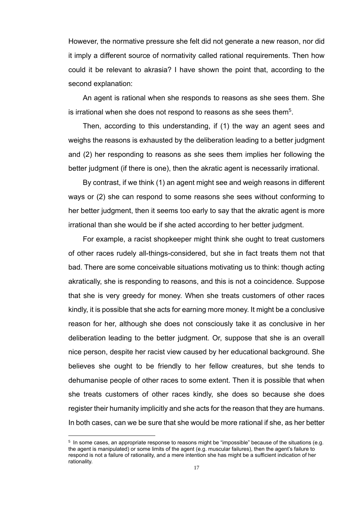However, the normative pressure she felt did not generate a new reason, nor did it imply a different source of normativity called rational requirements. Then how could it be relevant to akrasia? I have shown the point that, according to the second explanation:

An agent is rational when she responds to reasons as she sees them. She is irrational when she does not respond to reasons as she sees them<sup>5</sup>.

Then, according to this understanding, if (1) the way an agent sees and weighs the reasons is exhausted by the deliberation leading to a better judgment and (2) her responding to reasons as she sees them implies her following the better judgment (if there is one), then the akratic agent is necessarily irrational.

By contrast, if we think (1) an agent might see and weigh reasons in different ways or (2) she can respond to some reasons she sees without conforming to her better judgment, then it seems too early to say that the akratic agent is more irrational than she would be if she acted according to her better judgment.

For example, a racist shopkeeper might think she ought to treat customers of other races rudely all-things-considered, but she in fact treats them not that bad. There are some conceivable situations motivating us to think: though acting akratically, she is responding to reasons, and this is not a coincidence. Suppose that she is very greedy for money. When she treats customers of other races kindly, it is possible that she acts for earning more money. It might be a conclusive reason for her, although she does not consciously take it as conclusive in her deliberation leading to the better judgment. Or, suppose that she is an overall nice person, despite her racist view caused by her educational background. She believes she ought to be friendly to her fellow creatures, but she tends to dehumanise people of other races to some extent. Then it is possible that when she treats customers of other races kindly, she does so because she does register their humanity implicitly and she acts for the reason that they are humans. In both cases, can we be sure that she would be more rational if she, as her better

<sup>&</sup>lt;sup>5</sup> In some cases, an appropriate response to reasons might be "impossible" because of the situations (e.g. the agent is manipulated) or some limits of the agent (e.g. muscular failures), then the agent's failure to respond is not a failure of rationality, and a mere intention she has might be a sufficient indication of her rationality.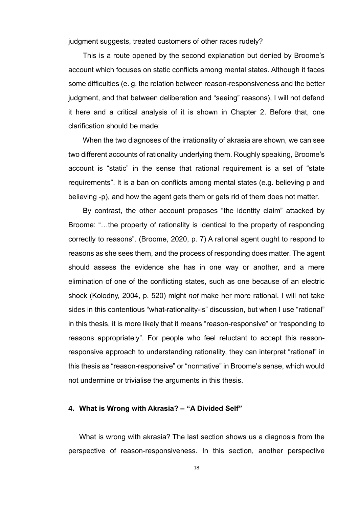judgment suggests, treated customers of other races rudely?

This is a route opened by the second explanation but denied by Broome's account which focuses on static conflicts among mental states. Although it faces some difficulties (e. g. the relation between reason-responsiveness and the better judgment, and that between deliberation and "seeing" reasons), I will not defend it here and a critical analysis of it is shown in Chapter 2. Before that, one clarification should be made:

When the two diagnoses of the irrationality of akrasia are shown, we can see two different accounts of rationality underlying them. Roughly speaking, Broome's account is "static" in the sense that rational requirement is a set of "state requirements". It is a ban on conflicts among mental states (e.g. believing p and believing -p), and how the agent gets them or gets rid of them does not matter.

By contrast, the other account proposes "the identity claim" attacked by Broome: "…the property of rationality is identical to the property of responding correctly to reasons". (Broome, 2020, p. 7) A rational agent ought to respond to reasons as she sees them, and the process of responding does matter. The agent should assess the evidence she has in one way or another, and a mere elimination of one of the conflicting states, such as one because of an electric shock (Kolodny, 2004, p. 520) might *not* make her more rational. I will not take sides in this contentious "what-rationality-is" discussion, but when I use "rational" in this thesis, it is more likely that it means "reason-responsive" or "responding to reasons appropriately". For people who feel reluctant to accept this reasonresponsive approach to understanding rationality, they can interpret "rational" in this thesis as "reason-responsive" or "normative" in Broome's sense, which would not undermine or trivialise the arguments in this thesis.

#### **4. What is Wrong with Akrasia? – "A Divided Self"**

What is wrong with akrasia? The last section shows us a diagnosis from the perspective of reason-responsiveness. In this section, another perspective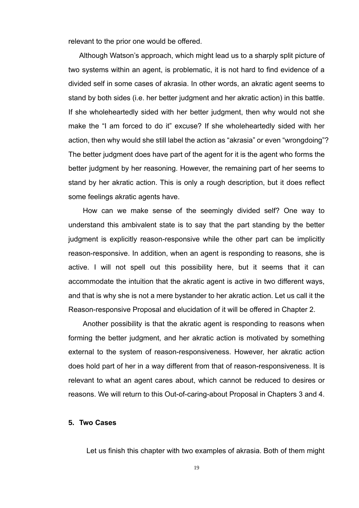relevant to the prior one would be offered.

Although Watson's approach, which might lead us to a sharply split picture of two systems within an agent, is problematic, it is not hard to find evidence of a divided self in some cases of akrasia. In other words, an akratic agent seems to stand by both sides (i.e. her better judgment and her akratic action) in this battle. If she wholeheartedly sided with her better judgment, then why would not she make the "I am forced to do it" excuse? If she wholeheartedly sided with her action, then why would she still label the action as "akrasia" or even "wrongdoing"? The better judgment does have part of the agent for it is the agent who forms the better judgment by her reasoning. However, the remaining part of her seems to stand by her akratic action. This is only a rough description, but it does reflect some feelings akratic agents have.

 How can we make sense of the seemingly divided self? One way to understand this ambivalent state is to say that the part standing by the better judgment is explicitly reason-responsive while the other part can be implicitly reason-responsive. In addition, when an agent is responding to reasons, she is active. I will not spell out this possibility here, but it seems that it can accommodate the intuition that the akratic agent is active in two different ways, and that is why she is not a mere bystander to her akratic action. Let us call it the Reason-responsive Proposal and elucidation of it will be offered in Chapter 2.

Another possibility is that the akratic agent is responding to reasons when forming the better judgment, and her akratic action is motivated by something external to the system of reason-responsiveness. However, her akratic action does hold part of her in a way different from that of reason-responsiveness. It is relevant to what an agent cares about, which cannot be reduced to desires or reasons. We will return to this Out-of-caring-about Proposal in Chapters 3 and 4.

# **5. Two Cases**

Let us finish this chapter with two examples of akrasia. Both of them might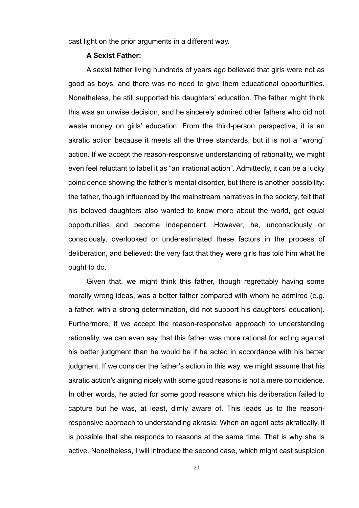cast light on the prior arguments in a different way.

#### **A Sexist Father:**

A sexist father living hundreds of years ago believed that girls were not as good as boys, and there was no need to give them educational opportunities. Nonetheless, he still supported his daughters' education. The father might think this was an unwise decision, and he sincerely admired other fathers who did not waste money on girls' education. From the third-person perspective, it is an akratic action because it meets all the three standards, but it is not a "wrong" action. If we accept the reason-responsive understanding of rationality, we might even feel reluctant to label it as "an irrational action". Admittedly, it can be a lucky coincidence showing the father's mental disorder, but there is another possibility: the father, though influenced by the mainstream narratives in the society, felt that his beloved daughters also wanted to know more about the world, get equal opportunities and become independent. However, he, unconsciously or consciously, overlooked or underestimated these factors in the process of deliberation, and believed: the very fact that they were girls has told him what he ought to do.

Given that, we might think this father, though regrettably having some morally wrong ideas, was a better father compared with whom he admired (e.g. a father, with a strong determination, did not support his daughters' education). Furthermore, if we accept the reason-responsive approach to understanding rationality, we can even say that this father was more rational for acting against his better judgment than he would be if he acted in accordance with his better judgment. If we consider the father's action in this way, we might assume that his akratic action's aligning nicely with some good reasons is not a mere coincidence. In other words, he acted for some good reasons which his deliberation failed to capture but he was, at least, dimly aware of. This leads us to the reasonresponsive approach to understanding akrasia: When an agent acts akratically, it is possible that she responds to reasons at the same time. That is why she is active. Nonetheless, I will introduce the second case, which might cast suspicion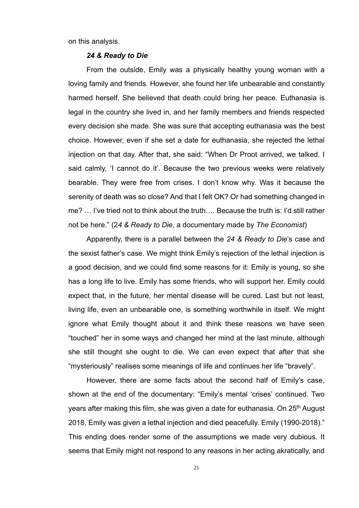on this analysis.

#### *24 & Ready to Die*

From the outside, Emily was a physically healthy young woman with a loving family and friends. However, she found her life unbearable and constantly harmed herself. She believed that death could bring her peace. Euthanasia is legal in the country she lived in, and her family members and friends respected every decision she made. She was sure that accepting euthanasia was the best choice. However, even if she set a date for euthanasia, she rejected the lethal injection on that day. After that, she said: "When Dr Proot arrived, we talked. I said calmly, 'I cannot do it'. Because the two previous weeks were relatively bearable. They were free from crises. I don't know why. Was it because the serenity of death was so close? And that I felt OK? Or had something changed in me? … I've tried not to think about the truth…. Because the truth is: I'd still rather not be here." (2*4 & Ready to Die*, a documentary made by *The Economist*)

Apparently, there is a parallel between the *24 & Ready to Die*'s case and the sexist father's case. We might think Emily's rejection of the lethal injection is a good decision, and we could find some reasons for it: Emily is young, so she has a long life to live. Emily has some friends, who will support her. Emily could expect that, in the future, her mental disease will be cured. Last but not least, living life, even an unbearable one, is something worthwhile in itself. We might ignore what Emily thought about it and think these reasons we have seen "touched" her in some ways and changed her mind at the last minute, although she still thought she ought to die. We can even expect that after that she "mysteriously" realises some meanings of life and continues her life "bravely".

However, there are some facts about the second half of Emily's case, shown at the end of the documentary: "Emily's mental 'crises' continued. Two years after making this film, she was given a date for euthanasia. On 25<sup>th</sup> August 2018, Emily was given a lethal injection and died peacefully. Emily (1990-2018)." This ending does render some of the assumptions we made very dubious. It seems that Emily might not respond to any reasons in her acting akratically, and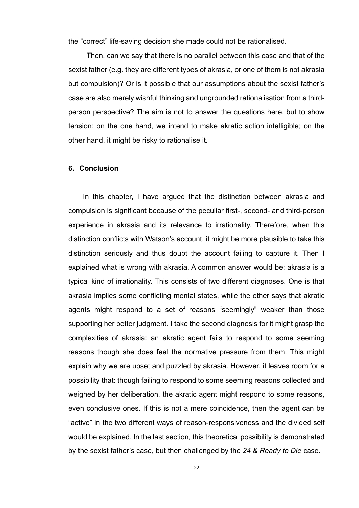the "correct" life-saving decision she made could not be rationalised.

Then, can we say that there is no parallel between this case and that of the sexist father (e.g. they are different types of akrasia, or one of them is not akrasia but compulsion)? Or is it possible that our assumptions about the sexist father's case are also merely wishful thinking and ungrounded rationalisation from a thirdperson perspective? The aim is not to answer the questions here, but to show tension: on the one hand, we intend to make akratic action intelligible; on the other hand, it might be risky to rationalise it.

# **6. Conclusion**

In this chapter, I have argued that the distinction between akrasia and compulsion is significant because of the peculiar first-, second- and third-person experience in akrasia and its relevance to irrationality. Therefore, when this distinction conflicts with Watson's account, it might be more plausible to take this distinction seriously and thus doubt the account failing to capture it. Then I explained what is wrong with akrasia. A common answer would be: akrasia is a typical kind of irrationality. This consists of two different diagnoses. One is that akrasia implies some conflicting mental states, while the other says that akratic agents might respond to a set of reasons "seemingly" weaker than those supporting her better judgment. I take the second diagnosis for it might grasp the complexities of akrasia: an akratic agent fails to respond to some seeming reasons though she does feel the normative pressure from them. This might explain why we are upset and puzzled by akrasia. However, it leaves room for a possibility that: though failing to respond to some seeming reasons collected and weighed by her deliberation, the akratic agent might respond to some reasons, even conclusive ones. If this is not a mere coincidence, then the agent can be "active" in the two different ways of reason-responsiveness and the divided self would be explained. In the last section, this theoretical possibility is demonstrated by the sexist father's case, but then challenged by the *24 & Ready to Die* case.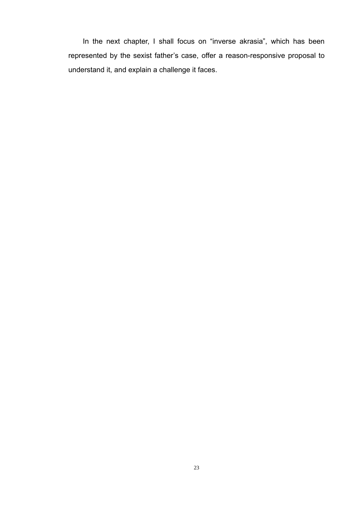In the next chapter, I shall focus on "inverse akrasia", which has been represented by the sexist father's case, offer a reason-responsive proposal to understand it, and explain a challenge it faces.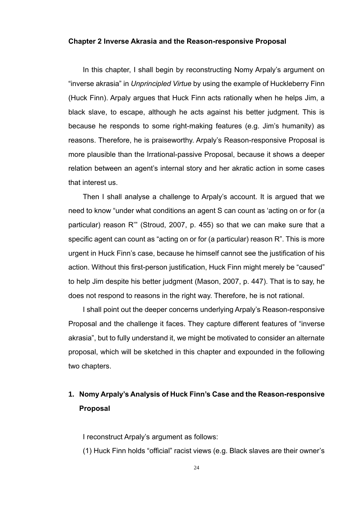#### **Chapter 2 Inverse Akrasia and the Reason-responsive Proposal**

In this chapter, I shall begin by reconstructing Nomy Arpaly's argument on "inverse akrasia" in *Unprincipled Virtue* by using the example of Huckleberry Finn (Huck Finn). Arpaly argues that Huck Finn acts rationally when he helps Jim, a black slave, to escape, although he acts against his better judgment. This is because he responds to some right-making features (e.g. Jim's humanity) as reasons. Therefore, he is praiseworthy. Arpaly's Reason-responsive Proposal is more plausible than the Irrational-passive Proposal, because it shows a deeper relation between an agent's internal story and her akratic action in some cases that interest us.

Then I shall analyse a challenge to Arpaly's account. It is argued that we need to know "under what conditions an agent S can count as 'acting on or for (a particular) reason R'" (Stroud, 2007, p. 455) so that we can make sure that a specific agent can count as "acting on or for (a particular) reason R". This is more urgent in Huck Finn's case, because he himself cannot see the justification of his action. Without this first-person justification, Huck Finn might merely be "caused" to help Jim despite his better judgment (Mason, 2007, p. 447). That is to say, he does not respond to reasons in the right way. Therefore, he is not rational.

I shall point out the deeper concerns underlying Arpaly's Reason-responsive Proposal and the challenge it faces. They capture different features of "inverse akrasia", but to fully understand it, we might be motivated to consider an alternate proposal, which will be sketched in this chapter and expounded in the following two chapters.

# **1. Nomy Arpaly's Analysis of Huck Finn's Case and the Reason-responsive Proposal**

I reconstruct Arpaly's argument as follows:

(1) Huck Finn holds "official" racist views (e.g. Black slaves are their owner's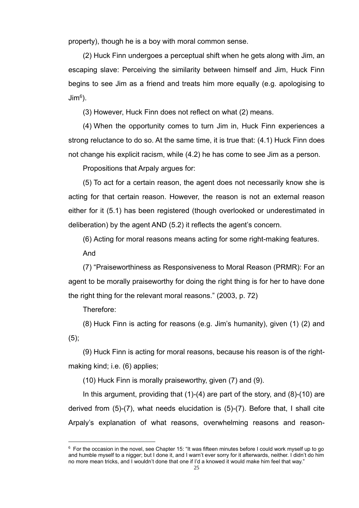property), though he is a boy with moral common sense.

(2) Huck Finn undergoes a perceptual shift when he gets along with Jim, an escaping slave: Perceiving the similarity between himself and Jim, Huck Finn begins to see Jim as a friend and treats him more equally (e.g. apologising to Jim<sup>6</sup> ).

(3) However, Huck Finn does not reflect on what (2) means.

(4) When the opportunity comes to turn Jim in, Huck Finn experiences a strong reluctance to do so. At the same time, it is true that: (4.1) Huck Finn does not change his explicit racism, while (4.2) he has come to see Jim as a person.

Propositions that Arpaly argues for:

(5) To act for a certain reason, the agent does not necessarily know she is acting for that certain reason. However, the reason is not an external reason either for it (5.1) has been registered (though overlooked or underestimated in deliberation) by the agent AND (5.2) it reflects the agent's concern.

(6) Acting for moral reasons means acting for some right-making features.

And

(7) "Praiseworthiness as Responsiveness to Moral Reason (PRMR): For an agent to be morally praiseworthy for doing the right thing is for her to have done the right thing for the relevant moral reasons." (2003, p. 72)

Therefore:

(8) Huck Finn is acting for reasons (e.g. Jim's humanity), given (1) (2) and (5);

(9) Huck Finn is acting for moral reasons, because his reason is of the rightmaking kind; i.e. (6) applies;

(10) Huck Finn is morally praiseworthy, given (7) and (9).

In this argument, providing that  $(1)-(4)$  are part of the story, and  $(8)-(10)$  are derived from (5)-(7), what needs elucidation is (5)-(7). Before that, I shall cite Arpaly's explanation of what reasons, overwhelming reasons and reason-

 $6$  For the occasion in the novel, see Chapter 15: "It was fifteen minutes before I could work myself up to go and humble myself to a nigger; but I done it, and I warn't ever sorry for it afterwards, neither. I didn't do him no more mean tricks, and I wouldn't done that one if I'd a knowed it would make him feel that way."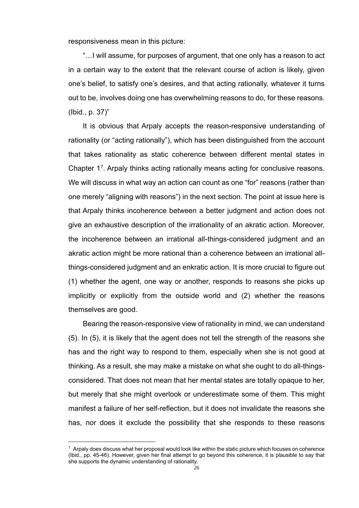responsiveness mean in this picture:

"…I will assume, for purposes of argument, that one only has a reason to act in a certain way to the extent that the relevant course of action is likely, given one's belief, to satisfy one's desires, and that acting rationally, whatever it turns out to be, involves doing one has overwhelming reasons to do, for these reasons. (Ibid., p. 37)"

It is obvious that Arpaly accepts the reason-responsive understanding of rationality (or "acting rationally"), which has been distinguished from the account that takes rationality as static coherence between different mental states in Chapter 1<sup>7</sup> . Arpaly thinks acting rationally means acting for conclusive reasons. We will discuss in what way an action can count as one "for" reasons (rather than one merely "aligning with reasons") in the next section. The point at issue here is that Arpaly thinks incoherence between a better judgment and action does not give an exhaustive description of the irrationality of an akratic action. Moreover, the incoherence between an irrational all-things-considered judgment and an akratic action might be more rational than a coherence between an irrational allthings-considered judgment and an enkratic action. It is more crucial to figure out (1) whether the agent, one way or another, responds to reasons she picks up implicitly or explicitly from the outside world and (2) whether the reasons themselves are good.

Bearing the reason-responsive view of rationality in mind, we can understand (5). In (5), it is likely that the agent does not tell the strength of the reasons she has and the right way to respond to them, especially when she is not good at thinking. As a result, she may make a mistake on what she ought to do all-thingsconsidered. That does not mean that her mental states are totally opaque to her, but merely that she might overlook or underestimate some of them. This might manifest a failure of her self-reflection, but it does not invalidate the reasons she has, nor does it exclude the possibility that she responds to these reasons

<sup>&</sup>lt;sup>7</sup> Arpaly does discuss what her proposal would look like within the static picture which focuses on coherence (Ibid., pp. 45-46). However, given her final attempt to go beyond this coherence, it is plausible to say that she supports the dynamic understanding of rationality.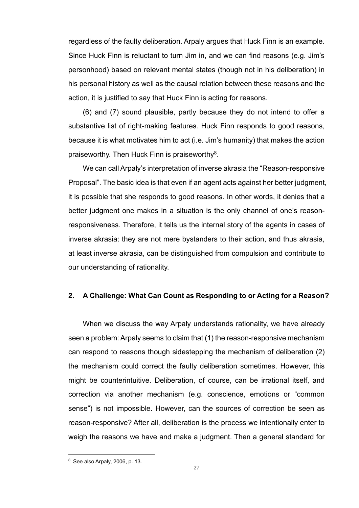regardless of the faulty deliberation. Arpaly argues that Huck Finn is an example. Since Huck Finn is reluctant to turn Jim in, and we can find reasons (e.g. Jim's personhood) based on relevant mental states (though not in his deliberation) in his personal history as well as the causal relation between these reasons and the action, it is justified to say that Huck Finn is acting for reasons.

(6) and (7) sound plausible, partly because they do not intend to offer a substantive list of right-making features. Huck Finn responds to good reasons, because it is what motivates him to act (i.e. Jim's humanity) that makes the action praiseworthy. Then Huck Finn is praiseworthy<sup>8</sup>.

We can call Arpaly's interpretation of inverse akrasia the "Reason-responsive Proposal". The basic idea is that even if an agent acts against her better judgment, it is possible that she responds to good reasons. In other words, it denies that a better judgment one makes in a situation is the only channel of one's reasonresponsiveness. Therefore, it tells us the internal story of the agents in cases of inverse akrasia: they are not mere bystanders to their action, and thus akrasia, at least inverse akrasia, can be distinguished from compulsion and contribute to our understanding of rationality.

# **2. A Challenge: What Can Count as Responding to or Acting for a Reason?**

When we discuss the way Arpaly understands rationality, we have already seen a problem: Arpaly seems to claim that (1) the reason-responsive mechanism can respond to reasons though sidestepping the mechanism of deliberation (2) the mechanism could correct the faulty deliberation sometimes. However, this might be counterintuitive. Deliberation, of course, can be irrational itself, and correction via another mechanism (e.g. conscience, emotions or "common sense") is not impossible. However, can the sources of correction be seen as reason-responsive? After all, deliberation is the process we intentionally enter to weigh the reasons we have and make a judgment. Then a general standard for

<sup>8</sup> See also Arpaly, 2006, p. 13.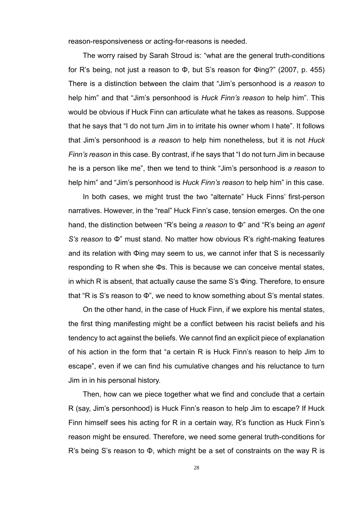reason-responsiveness or acting-for-reasons is needed.

The worry raised by Sarah Stroud is: "what are the general truth-conditions for R's being, not just a reason to Φ, but S's reason for Φing?" (2007, p. 455) There is a distinction between the claim that "Jim's personhood is *a reason* to help him" and that "Jim's personhood is *Huck Finn's reason* to help him". This would be obvious if Huck Finn can articulate what he takes as reasons. Suppose that he says that "I do not turn Jim in to irritate his owner whom I hate". It follows that Jim's personhood is *a reason* to help him nonetheless, but it is not *Huck Finn's reason* in this case. By contrast, if he says that "I do not turn Jim in because he is a person like me", then we tend to think "Jim's personhood is *a reason* to help him" and "Jim's personhood is *Huck Finn's reason* to help him" in this case.

In both cases, we might trust the two "alternate" Huck Finns' first-person narratives. However, in the "real" Huck Finn's case, tension emerges. On the one hand, the distinction between "R's being *a reason* to Φ" and "R's being *an agent S's reason* to Φ" must stand. No matter how obvious R's right-making features and its relation with Φing may seem to us, we cannot infer that S is necessarily responding to R when she Φs. This is because we can conceive mental states, in which R is absent, that actually cause the same S's Φing. Therefore, to ensure that "R is S's reason to Φ", we need to know something about S's mental states.

On the other hand, in the case of Huck Finn, if we explore his mental states, the first thing manifesting might be a conflict between his racist beliefs and his tendency to act against the beliefs. We cannot find an explicit piece of explanation of his action in the form that "a certain R is Huck Finn's reason to help Jim to escape", even if we can find his cumulative changes and his reluctance to turn Jim in in his personal history.

Then, how can we piece together what we find and conclude that a certain R (say, Jim's personhood) is Huck Finn's reason to help Jim to escape? If Huck Finn himself sees his acting for R in a certain way, R's function as Huck Finn's reason might be ensured. Therefore, we need some general truth-conditions for R's being S's reason to Φ, which might be a set of constraints on the way R is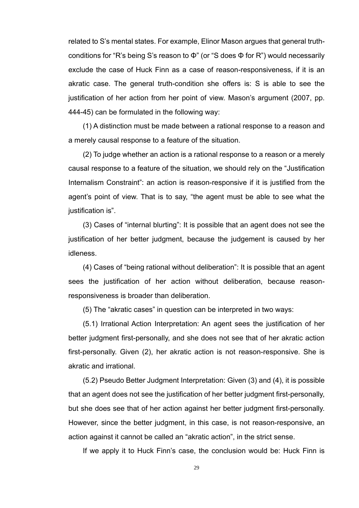related to S's mental states. For example, Elinor Mason argues that general truthconditions for "R's being S's reason to Φ" (or "S does Φ for R") would necessarily exclude the case of Huck Finn as a case of reason-responsiveness, if it is an akratic case. The general truth-condition she offers is: S is able to see the justification of her action from her point of view. Mason's argument (2007, pp. 444-45) can be formulated in the following way:

(1) A distinction must be made between a rational response to a reason and a merely causal response to a feature of the situation.

(2) To judge whether an action is a rational response to a reason or a merely causal response to a feature of the situation, we should rely on the "Justification Internalism Constraint": an action is reason-responsive if it is justified from the agent's point of view. That is to say, "the agent must be able to see what the justification is".

(3) Cases of "internal blurting": It is possible that an agent does not see the justification of her better judgment, because the judgement is caused by her idleness.

(4) Cases of "being rational without deliberation": It is possible that an agent sees the justification of her action without deliberation, because reasonresponsiveness is broader than deliberation.

(5) The "akratic cases" in question can be interpreted in two ways:

(5.1) Irrational Action Interpretation: An agent sees the justification of her better judgment first-personally, and she does not see that of her akratic action first-personally. Given (2), her akratic action is not reason-responsive. She is akratic and irrational.

(5.2) Pseudo Better Judgment Interpretation: Given (3) and (4), it is possible that an agent does not see the justification of her better judgment first-personally, but she does see that of her action against her better judgment first-personally. However, since the better judgment, in this case, is not reason-responsive, an action against it cannot be called an "akratic action", in the strict sense.

If we apply it to Huck Finn's case, the conclusion would be: Huck Finn is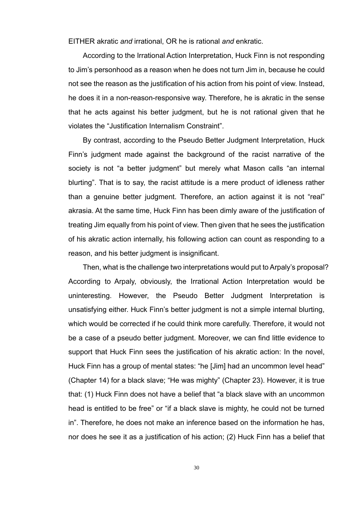EITHER akratic *and* irrational, OR he is rational *and* enkratic.

According to the Irrational Action Interpretation, Huck Finn is not responding to Jim's personhood as a reason when he does not turn Jim in, because he could not see the reason as the justification of his action from his point of view. Instead, he does it in a non-reason-responsive way. Therefore, he is akratic in the sense that he acts against his better judgment, but he is not rational given that he violates the "Justification Internalism Constraint".

By contrast, according to the Pseudo Better Judgment Interpretation, Huck Finn's judgment made against the background of the racist narrative of the society is not "a better judgment" but merely what Mason calls "an internal blurting". That is to say, the racist attitude is a mere product of idleness rather than a genuine better judgment. Therefore, an action against it is not "real" akrasia. At the same time, Huck Finn has been dimly aware of the justification of treating Jim equally from his point of view. Then given that he sees the justification of his akratic action internally, his following action can count as responding to a reason, and his better judgment is insignificant.

Then, what is the challenge two interpretations would put to Arpaly's proposal? According to Arpaly, obviously, the Irrational Action Interpretation would be uninteresting. However, the Pseudo Better Judgment Interpretation is unsatisfying either. Huck Finn's better judgment is not a simple internal blurting, which would be corrected if he could think more carefully. Therefore, it would not be a case of a pseudo better judgment. Moreover, we can find little evidence to support that Huck Finn sees the justification of his akratic action: In the novel, Huck Finn has a group of mental states: "he [Jim] had an uncommon level head" (Chapter 14) for a black slave; "He was mighty" (Chapter 23). However, it is true that: (1) Huck Finn does not have a belief that "a black slave with an uncommon head is entitled to be free" or "if a black slave is mighty, he could not be turned in". Therefore, he does not make an inference based on the information he has, nor does he see it as a justification of his action; (2) Huck Finn has a belief that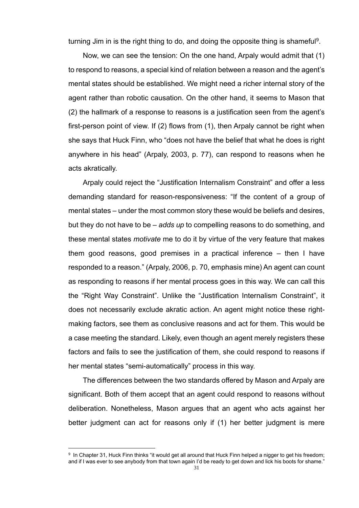turning Jim in is the right thing to do, and doing the opposite thing is shameful<sup>9</sup>.

Now, we can see the tension: On the one hand, Arpaly would admit that (1) to respond to reasons, a special kind of relation between a reason and the agent's mental states should be established. We might need a richer internal story of the agent rather than robotic causation. On the other hand, it seems to Mason that (2) the hallmark of a response to reasons is a justification seen from the agent's first-person point of view. If (2) flows from (1), then Arpaly cannot be right when she says that Huck Finn, who "does not have the belief that what he does is right anywhere in his head" (Arpaly, 2003, p. 77), can respond to reasons when he acts akratically.

Arpaly could reject the "Justification Internalism Constraint" and offer a less demanding standard for reason-responsiveness: "If the content of a group of mental states – under the most common story these would be beliefs and desires, but they do not have to be – *adds up* to compelling reasons to do something, and these mental states *motivate* me to do it by virtue of the very feature that makes them good reasons, good premises in a practical inference – then I have responded to a reason." (Arpaly, 2006, p. 70, emphasis mine) An agent can count as responding to reasons if her mental process goes in this way. We can call this the "Right Way Constraint". Unlike the "Justification Internalism Constraint", it does not necessarily exclude akratic action. An agent might notice these rightmaking factors, see them as conclusive reasons and act for them. This would be a case meeting the standard. Likely, even though an agent merely registers these factors and fails to see the justification of them, she could respond to reasons if her mental states "semi-automatically" process in this way.

The differences between the two standards offered by Mason and Arpaly are significant. Both of them accept that an agent could respond to reasons without deliberation. Nonetheless, Mason argues that an agent who acts against her better judgment can act for reasons only if (1) her better judgment is mere

<sup>&</sup>lt;sup>9</sup> In Chapter 31, Huck Finn thinks "it would get all around that Huck Finn helped a nigger to get his freedom; and if I was ever to see anybody from that town again I'd be ready to get down and lick his boots for shame."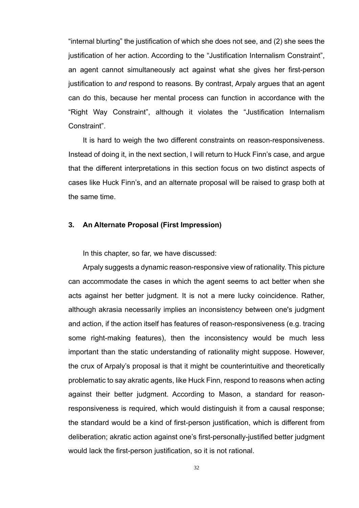"internal blurting" the justification of which she does not see, and (2) she sees the justification of her action. According to the "Justification Internalism Constraint", an agent cannot simultaneously act against what she gives her first-person justification to *and* respond to reasons. By contrast, Arpaly argues that an agent can do this, because her mental process can function in accordance with the "Right Way Constraint", although it violates the "Justification Internalism Constraint".

It is hard to weigh the two different constraints on reason-responsiveness. Instead of doing it, in the next section, I will return to Huck Finn's case, and argue that the different interpretations in this section focus on two distinct aspects of cases like Huck Finn's, and an alternate proposal will be raised to grasp both at the same time.

## **3. An Alternate Proposal (First Impression)**

In this chapter, so far, we have discussed:

Arpaly suggests a dynamic reason-responsive view of rationality. This picture can accommodate the cases in which the agent seems to act better when she acts against her better judgment. It is not a mere lucky coincidence. Rather, although akrasia necessarily implies an inconsistency between one's judgment and action, if the action itself has features of reason-responsiveness (e.g. tracing some right-making features), then the inconsistency would be much less important than the static understanding of rationality might suppose. However, the crux of Arpaly's proposal is that it might be counterintuitive and theoretically problematic to say akratic agents, like Huck Finn, respond to reasons when acting against their better judgment. According to Mason, a standard for reasonresponsiveness is required, which would distinguish it from a causal response; the standard would be a kind of first-person justification, which is different from deliberation; akratic action against one's first-personally-justified better judgment would lack the first-person justification, so it is not rational.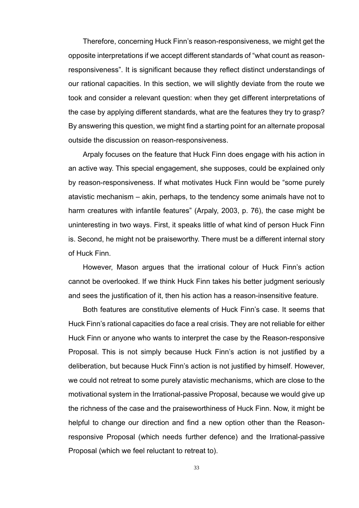Therefore, concerning Huck Finn's reason-responsiveness, we might get the opposite interpretations if we accept different standards of "what count as reasonresponsiveness". It is significant because they reflect distinct understandings of our rational capacities. In this section, we will slightly deviate from the route we took and consider a relevant question: when they get different interpretations of the case by applying different standards, what are the features they try to grasp? By answering this question, we might find a starting point for an alternate proposal outside the discussion on reason-responsiveness.

Arpaly focuses on the feature that Huck Finn does engage with his action in an active way. This special engagement, she supposes, could be explained only by reason-responsiveness. If what motivates Huck Finn would be "some purely atavistic mechanism – akin, perhaps, to the tendency some animals have not to harm creatures with infantile features" (Arpaly, 2003, p. 76), the case might be uninteresting in two ways. First, it speaks little of what kind of person Huck Finn is. Second, he might not be praiseworthy. There must be a different internal story of Huck Finn.

However, Mason argues that the irrational colour of Huck Finn's action cannot be overlooked. If we think Huck Finn takes his better judgment seriously and sees the justification of it, then his action has a reason-insensitive feature.

Both features are constitutive elements of Huck Finn's case. It seems that Huck Finn's rational capacities do face a real crisis. They are not reliable for either Huck Finn or anyone who wants to interpret the case by the Reason-responsive Proposal. This is not simply because Huck Finn's action is not justified by a deliberation, but because Huck Finn's action is not justified by himself. However, we could not retreat to some purely atavistic mechanisms, which are close to the motivational system in the Irrational-passive Proposal, because we would give up the richness of the case and the praiseworthiness of Huck Finn. Now, it might be helpful to change our direction and find a new option other than the Reasonresponsive Proposal (which needs further defence) and the Irrational-passive Proposal (which we feel reluctant to retreat to).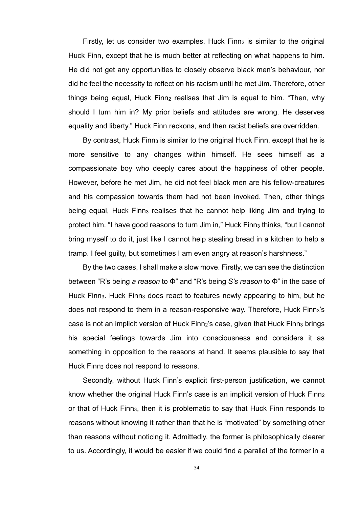Firstly, let us consider two examples. Huck  $F$ inn<sub>2</sub> is similar to the original Huck Finn, except that he is much better at reflecting on what happens to him. He did not get any opportunities to closely observe black men's behaviour, nor did he feel the necessity to reflect on his racism until he met Jim. Therefore, other things being equal, Huck Finn<sub>2</sub> realises that Jim is equal to him. "Then, why should I turn him in? My prior beliefs and attitudes are wrong. He deserves equality and liberty." Huck Finn reckons, and then racist beliefs are overridden.

By contrast, Huck Finn<sub>3</sub> is similar to the original Huck Finn, except that he is more sensitive to any changes within himself. He sees himself as a compassionate boy who deeply cares about the happiness of other people. However, before he met Jim, he did not feel black men are his fellow-creatures and his compassion towards them had not been invoked. Then, other things being equal, Huck Finn<sub>3</sub> realises that he cannot help liking Jim and trying to protect him. "I have good reasons to turn Jim in," Huck Finn<sub>3</sub> thinks, "but I cannot bring myself to do it, just like I cannot help stealing bread in a kitchen to help a tramp. I feel guilty, but sometimes I am even angry at reason's harshness."

By the two cases, I shall make a slow move. Firstly, we can see the distinction between "R's being *a reason* to Φ" and "R's being *S's reason* to Φ" in the case of Huck Finn<sub>3</sub>. Huck Finn<sub>3</sub> does react to features newly appearing to him, but he does not respond to them in a reason-responsive way. Therefore, Huck Finna's case is not an implicit version of Huck Finn<sub>2</sub>'s case, given that Huck Finn<sub>3</sub> brings his special feelings towards Jim into consciousness and considers it as something in opposition to the reasons at hand. It seems plausible to say that Huck Finn<sub>3</sub> does not respond to reasons.

Secondly, without Huck Finn's explicit first-person justification, we cannot know whether the original Huck Finn's case is an implicit version of Huck Finn2 or that of Huck Finn<sub>3</sub>, then it is problematic to say that Huck Finn responds to reasons without knowing it rather than that he is "motivated" by something other than reasons without noticing it. Admittedly, the former is philosophically clearer to us. Accordingly, it would be easier if we could find a parallel of the former in a

34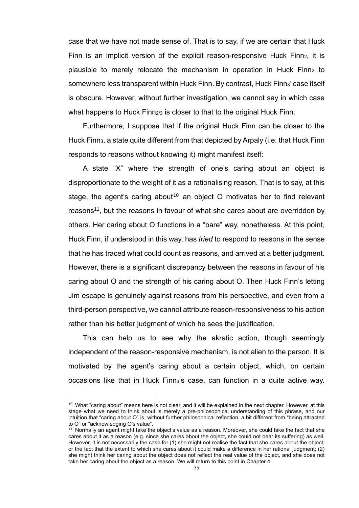case that we have not made sense of. That is to say, if we are certain that Huck Finn is an implicit version of the explicit reason-responsive Huck Finn<sub>2</sub>, it is plausible to merely relocate the mechanism in operation in Huck Finn<sub>2</sub> to somewhere less transparent within Huck Finn. By contrast, Huck Finn<sub>3</sub>' case itself is obscure. However, without further investigation, we cannot say in which case what happens to Huck Finn $_{2/3}$  is closer to that to the original Huck Finn.

Furthermore, I suppose that if the original Huck Finn can be closer to the Huck Finn3, a state quite different from that depicted by Arpaly (i.e. that Huck Finn responds to reasons without knowing it) might manifest itself:

A state "X" where the strength of one's caring about an object is disproportionate to the weight of it as a rationalising reason. That is to say, at this stage, the agent's caring about<sup>10</sup> an object O motivates her to find relevant reasons<sup>11</sup>, but the reasons in favour of what she cares about are overridden by others. Her caring about O functions in a "bare" way, nonetheless. At this point, Huck Finn, if understood in this way, has *tried* to respond to reasons in the sense that he has traced what could count as reasons, and arrived at a better judgment. However, there is a significant discrepancy between the reasons in favour of his caring about O and the strength of his caring about O. Then Huck Finn's letting Jim escape is genuinely against reasons from his perspective, and even from a third-person perspective, we cannot attribute reason-responsiveness to his action rather than his better judgment of which he sees the justification.

This can help us to see why the akratic action, though seemingly independent of the reason-responsive mechanism, is not alien to the person. It is motivated by the agent's caring about a certain object, which, on certain occasions like that in Huck Finn<sub>3</sub>'s case, can function in a quite active way.

<sup>&</sup>lt;sup>10</sup> What "caring about" means here is not clear, and it will be explained in the next chapter. However, at this stage what we need to think about is merely a pre-philosophical understanding of this phrase, and our intuition that "caring about O" is, without further philosophical reflection, a bit different from "being attracted to O" or "acknowledging O's value".

<sup>11</sup> Normally an agent might take the object's value as a reason. Moreover, she could take the fact that she cares about it as a reason (e.g. since she cares about the object, she could not bear its suffering) as well. However, it is not necessarily the case for (1) she might not realise the fact that she cares about the object, or the fact that the extent to which she cares about it could make a difference in her rational judgment; (2) she might think her caring about the object does not reflect the real value of the object, and she does not take her caring about the object as a reason. We will return to this point in Chapter 4.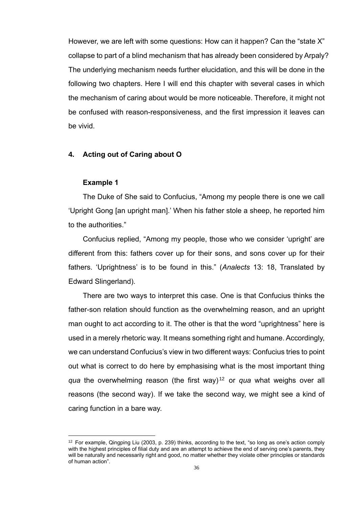However, we are left with some questions: How can it happen? Can the "state X" collapse to part of a blind mechanism that has already been considered by Arpaly? The underlying mechanism needs further elucidation, and this will be done in the following two chapters. Here I will end this chapter with several cases in which the mechanism of caring about would be more noticeable. Therefore, it might not be confused with reason-responsiveness, and the first impression it leaves can be vivid.

#### **4. Acting out of Caring about O**

#### **Example 1**

The Duke of She said to Confucius, "Among my people there is one we call 'Upright Gong [an upright man].' When his father stole a sheep, he reported him to the authorities."

Confucius replied, "Among my people, those who we consider 'upright' are different from this: fathers cover up for their sons, and sons cover up for their fathers. 'Uprightness' is to be found in this." (*Analects* 13: 18, Translated by Edward Slingerland).

There are two ways to interpret this case. One is that Confucius thinks the father-son relation should function as the overwhelming reason, and an upright man ought to act according to it. The other is that the word "uprightness" here is used in a merely rhetoric way. It means something right and humane. Accordingly, we can understand Confucius's view in two different ways: Confucius tries to point out what is correct to do here by emphasising what is the most important thing *qua* the overwhelming reason (the first way) <sup>12</sup> or *qua* what weighs over all reasons (the second way). If we take the second way, we might see a kind of caring function in a bare way.

 $12$  For example, Qingping Liu (2003, p. 239) thinks, according to the text, "so long as one's action comply with the highest principles of filial duty and are an attempt to achieve the end of serving one's parents, they will be naturally and necessarily right and good, no matter whether they violate other principles or standards of human action".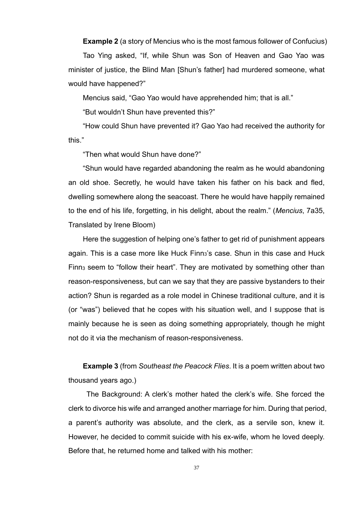**Example 2** (a story of Mencius who is the most famous follower of Confucius)

Tao Ying asked, "If, while Shun was Son of Heaven and Gao Yao was minister of justice, the Blind Man [Shun's father] had murdered someone, what would have happened?"

Mencius said, "Gao Yao would have apprehended him; that is all."

"But wouldn't Shun have prevented this?"

"How could Shun have prevented it? Gao Yao had received the authority for this."

"Then what would Shun have done?"

"Shun would have regarded abandoning the realm as he would abandoning an old shoe. Secretly, he would have taken his father on his back and fled, dwelling somewhere along the seacoast. There he would have happily remained to the end of his life, forgetting, in his delight, about the realm." (*Mencius*, 7a35, Translated by Irene Bloom)

Here the suggestion of helping one's father to get rid of punishment appears again. This is a case more like Huck Finn<sub>3</sub>'s case. Shun in this case and Huck Finn<sup>3</sup> seem to "follow their heart". They are motivated by something other than reason-responsiveness, but can we say that they are passive bystanders to their action? Shun is regarded as a role model in Chinese traditional culture, and it is (or "was") believed that he copes with his situation well, and I suppose that is mainly because he is seen as doing something appropriately, though he might not do it via the mechanism of reason-responsiveness.

**Example 3** (from *Southeast the Peacock Flies*. It is a poem written about two thousand years ago.)

The Background: A clerk's mother hated the clerk's wife. She forced the clerk to divorce his wife and arranged another marriage for him. During that period, a parent's authority was absolute, and the clerk, as a servile son, knew it. However, he decided to commit suicide with his ex-wife, whom he loved deeply. Before that, he returned home and talked with his mother: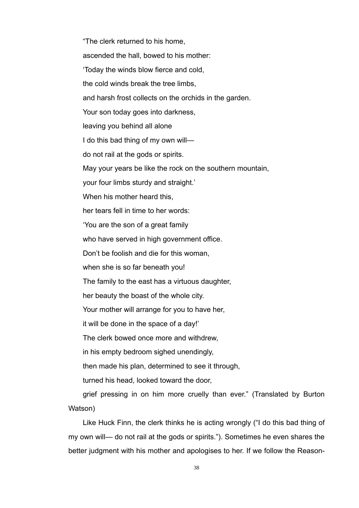"The clerk returned to his home, ascended the hall, bowed to his mother: 'Today the winds blow fierce and cold, the cold winds break the tree limbs, and harsh frost collects on the orchids in the garden. Your son today goes into darkness, leaving you behind all alone I do this bad thing of my own will do not rail at the gods or spirits. May your years be like the rock on the southern mountain, your four limbs sturdy and straight.' When his mother heard this. her tears fell in time to her words: 'You are the son of a great family who have served in high government office. Don't be foolish and die for this woman, when she is so far beneath you! The family to the east has a virtuous daughter, her beauty the boast of the whole city. Your mother will arrange for you to have her, it will be done in the space of a day!' The clerk bowed once more and withdrew, in his empty bedroom sighed unendingly, then made his plan, determined to see it through, turned his head, looked toward the door, grief pressing in on him more cruelly than ever." (Translated by Burton Watson)

Like Huck Finn, the clerk thinks he is acting wrongly ("I do this bad thing of my own will— do not rail at the gods or spirits."). Sometimes he even shares the better judgment with his mother and apologises to her. If we follow the Reason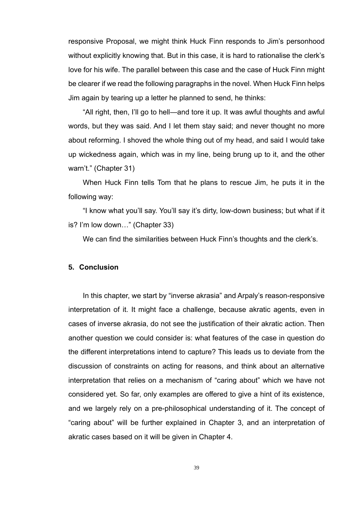responsive Proposal, we might think Huck Finn responds to Jim's personhood without explicitly knowing that. But in this case, it is hard to rationalise the clerk's love for his wife. The parallel between this case and the case of Huck Finn might be clearer if we read the following paragraphs in the novel. When Huck Finn helps Jim again by tearing up a letter he planned to send, he thinks:

"All right, then, I'll go to hell—and tore it up. It was awful thoughts and awful words, but they was said. And I let them stay said; and never thought no more about reforming. I shoved the whole thing out of my head, and said I would take up wickedness again, which was in my line, being brung up to it, and the other warn't." (Chapter 31)

When Huck Finn tells Tom that he plans to rescue Jim, he puts it in the following way:

"I know what you'll say. You'll say it's dirty, low-down business; but what if it is? I'm low down…" (Chapter 33)

We can find the similarities between Huck Finn's thoughts and the clerk's.

## **5. Conclusion**

In this chapter, we start by "inverse akrasia" and Arpaly's reason-responsive interpretation of it. It might face a challenge, because akratic agents, even in cases of inverse akrasia, do not see the justification of their akratic action. Then another question we could consider is: what features of the case in question do the different interpretations intend to capture? This leads us to deviate from the discussion of constraints on acting for reasons, and think about an alternative interpretation that relies on a mechanism of "caring about" which we have not considered yet. So far, only examples are offered to give a hint of its existence, and we largely rely on a pre-philosophical understanding of it. The concept of "caring about" will be further explained in Chapter 3, and an interpretation of akratic cases based on it will be given in Chapter 4.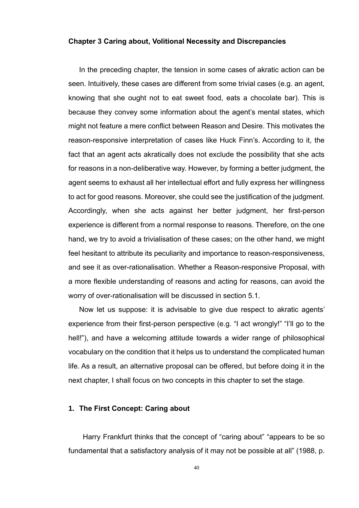## **Chapter 3 Caring about, Volitional Necessity and Discrepancies**

In the preceding chapter, the tension in some cases of akratic action can be seen. Intuitively, these cases are different from some trivial cases (e.g. an agent, knowing that she ought not to eat sweet food, eats a chocolate bar). This is because they convey some information about the agent's mental states, which might not feature a mere conflict between Reason and Desire. This motivates the reason-responsive interpretation of cases like Huck Finn's. According to it, the fact that an agent acts akratically does not exclude the possibility that she acts for reasons in a non-deliberative way. However, by forming a better judgment, the agent seems to exhaust all her intellectual effort and fully express her willingness to act for good reasons. Moreover, she could see the justification of the judgment. Accordingly, when she acts against her better judgment, her first-person experience is different from a normal response to reasons. Therefore, on the one hand, we try to avoid a trivialisation of these cases; on the other hand, we might feel hesitant to attribute its peculiarity and importance to reason-responsiveness, and see it as over-rationalisation. Whether a Reason-responsive Proposal, with a more flexible understanding of reasons and acting for reasons, can avoid the worry of over-rationalisation will be discussed in section 5.1.

Now let us suppose: it is advisable to give due respect to akratic agents' experience from their first-person perspective (e.g. "I act wrongly!" "I'll go to the hell!"), and have a welcoming attitude towards a wider range of philosophical vocabulary on the condition that it helps us to understand the complicated human life. As a result, an alternative proposal can be offered, but before doing it in the next chapter, I shall focus on two concepts in this chapter to set the stage.

## **1. The First Concept: Caring about**

Harry Frankfurt thinks that the concept of "caring about" "appears to be so fundamental that a satisfactory analysis of it may not be possible at all" (1988, p.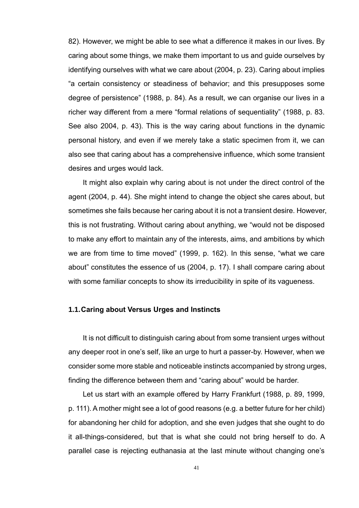82). However, we might be able to see what a difference it makes in our lives. By caring about some things, we make them important to us and guide ourselves by identifying ourselves with what we care about (2004, p. 23). Caring about implies "a certain consistency or steadiness of behavior; and this presupposes some degree of persistence" (1988, p. 84). As a result, we can organise our lives in a richer way different from a mere "formal relations of sequentiality" (1988, p. 83. See also 2004, p. 43). This is the way caring about functions in the dynamic personal history, and even if we merely take a static specimen from it, we can also see that caring about has a comprehensive influence, which some transient desires and urges would lack.

It might also explain why caring about is not under the direct control of the agent (2004, p. 44). She might intend to change the object she cares about, but sometimes she fails because her caring about it is not a transient desire. However, this is not frustrating. Without caring about anything, we "would not be disposed to make any effort to maintain any of the interests, aims, and ambitions by which we are from time to time moved" (1999, p. 162). In this sense, "what we care about" constitutes the essence of us (2004, p. 17). I shall compare caring about with some familiar concepts to show its irreducibility in spite of its vagueness.

# **1.1.Caring about Versus Urges and Instincts**

It is not difficult to distinguish caring about from some transient urges without any deeper root in one's self, like an urge to hurt a passer-by. However, when we consider some more stable and noticeable instincts accompanied by strong urges, finding the difference between them and "caring about" would be harder.

Let us start with an example offered by Harry Frankfurt (1988, p. 89, 1999, p. 111). A mother might see a lot of good reasons (e.g. a better future for her child) for abandoning her child for adoption, and she even judges that she ought to do it all-things-considered, but that is what she could not bring herself to do. A parallel case is rejecting euthanasia at the last minute without changing one's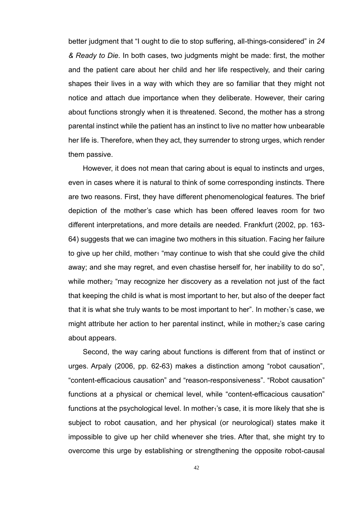better judgment that "I ought to die to stop suffering, all-things-considered" in *24 & Ready to Die*. In both cases, two judgments might be made: first, the mother and the patient care about her child and her life respectively, and their caring shapes their lives in a way with which they are so familiar that they might not notice and attach due importance when they deliberate. However, their caring about functions strongly when it is threatened. Second, the mother has a strong parental instinct while the patient has an instinct to live no matter how unbearable her life is. Therefore, when they act, they surrender to strong urges, which render them passive.

However, it does not mean that caring about is equal to instincts and urges, even in cases where it is natural to think of some corresponding instincts. There are two reasons. First, they have different phenomenological features. The brief depiction of the mother's case which has been offered leaves room for two different interpretations, and more details are needed. Frankfurt (2002, pp. 163- 64) suggests that we can imagine two mothers in this situation. Facing her failure to give up her child, mother<sub>1</sub> "may continue to wish that she could give the child away; and she may regret, and even chastise herself for, her inability to do so", while mother<sub>2</sub> "may recognize her discovery as a revelation not just of the fact that keeping the child is what is most important to her, but also of the deeper fact that it is what she truly wants to be most important to her". In mother $_1$ 's case, we might attribute her action to her parental instinct, while in mother2's case caring about appears.

Second, the way caring about functions is different from that of instinct or urges. Arpaly (2006, pp. 62-63) makes a distinction among "robot causation", "content-efficacious causation" and "reason-responsiveness". "Robot causation" functions at a physical or chemical level, while "content-efficacious causation" functions at the psychological level. In mother $_1$ 's case, it is more likely that she is subject to robot causation, and her physical (or neurological) states make it impossible to give up her child whenever she tries. After that, she might try to overcome this urge by establishing or strengthening the opposite robot-causal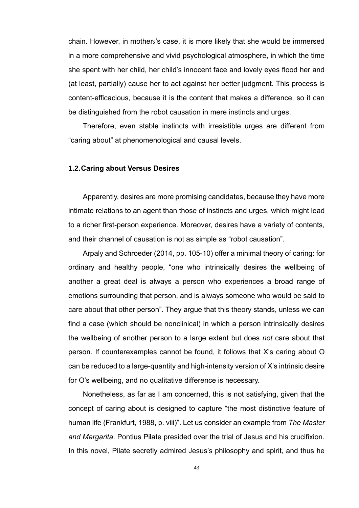chain. However, in mother<sub>2</sub>'s case, it is more likely that she would be immersed in a more comprehensive and vivid psychological atmosphere, in which the time she spent with her child, her child's innocent face and lovely eyes flood her and (at least, partially) cause her to act against her better judgment. This process is content-efficacious, because it is the content that makes a difference, so it can be distinguished from the robot causation in mere instincts and urges.

Therefore, even stable instincts with irresistible urges are different from "caring about" at phenomenological and causal levels.

## **1.2.Caring about Versus Desires**

Apparently, desires are more promising candidates, because they have more intimate relations to an agent than those of instincts and urges, which might lead to a richer first-person experience. Moreover, desires have a variety of contents, and their channel of causation is not as simple as "robot causation".

Arpaly and Schroeder (2014, pp. 105-10) offer a minimal theory of caring: for ordinary and healthy people, "one who intrinsically desires the wellbeing of another a great deal is always a person who experiences a broad range of emotions surrounding that person, and is always someone who would be said to care about that other person". They argue that this theory stands, unless we can find a case (which should be nonclinical) in which a person intrinsically desires the wellbeing of another person to a large extent but does *not* care about that person. If counterexamples cannot be found, it follows that X's caring about O can be reduced to a large-quantity and high-intensity version of X's intrinsic desire for O's wellbeing, and no qualitative difference is necessary.

Nonetheless, as far as I am concerned, this is not satisfying, given that the concept of caring about is designed to capture "the most distinctive feature of human life (Frankfurt, 1988, p. viii)". Let us consider an example from *The Master and Margarita*. Pontius Pilate presided over the trial of Jesus and his crucifixion. In this novel, Pilate secretly admired Jesus's philosophy and spirit, and thus he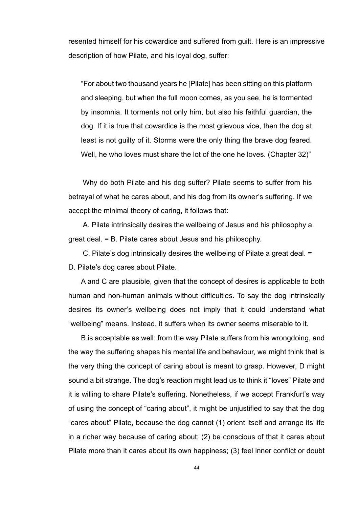resented himself for his cowardice and suffered from guilt. Here is an impressive description of how Pilate, and his loyal dog, suffer:

"For about two thousand years he [Pilate] has been sitting on this platform and sleeping, but when the full moon comes, as you see, he is tormented by insomnia. It torments not only him, but also his faithful guardian, the dog. If it is true that cowardice is the most grievous vice, then the dog at least is not guilty of it. Storms were the only thing the brave dog feared. Well, he who loves must share the lot of the one he loves. (Chapter 32)"

Why do both Pilate and his dog suffer? Pilate seems to suffer from his betrayal of what he cares about, and his dog from its owner's suffering. If we accept the minimal theory of caring, it follows that:

A. Pilate intrinsically desires the wellbeing of Jesus and his philosophy a great deal. = B. Pilate cares about Jesus and his philosophy.

C. Pilate's dog intrinsically desires the wellbeing of Pilate a great deal. = D. Pilate's dog cares about Pilate.

A and C are plausible, given that the concept of desires is applicable to both human and non-human animals without difficulties. To say the dog intrinsically desires its owner's wellbeing does not imply that it could understand what "wellbeing" means. Instead, it suffers when its owner seems miserable to it.

B is acceptable as well: from the way Pilate suffers from his wrongdoing, and the way the suffering shapes his mental life and behaviour, we might think that is the very thing the concept of caring about is meant to grasp. However, D might sound a bit strange. The dog's reaction might lead us to think it "loves" Pilate and it is willing to share Pilate's suffering. Nonetheless, if we accept Frankfurt's way of using the concept of "caring about", it might be unjustified to say that the dog "cares about" Pilate, because the dog cannot (1) orient itself and arrange its life in a richer way because of caring about; (2) be conscious of that it cares about Pilate more than it cares about its own happiness; (3) feel inner conflict or doubt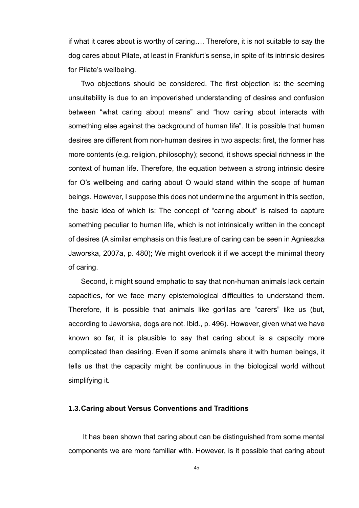if what it cares about is worthy of caring…. Therefore, it is not suitable to say the dog cares about Pilate, at least in Frankfurt's sense, in spite of its intrinsic desires for Pilate's wellbeing.

Two objections should be considered. The first objection is: the seeming unsuitability is due to an impoverished understanding of desires and confusion between "what caring about means" and "how caring about interacts with something else against the background of human life". It is possible that human desires are different from non-human desires in two aspects: first, the former has more contents (e.g. religion, philosophy); second, it shows special richness in the context of human life. Therefore, the equation between a strong intrinsic desire for O's wellbeing and caring about O would stand within the scope of human beings. However, I suppose this does not undermine the argument in this section, the basic idea of which is: The concept of "caring about" is raised to capture something peculiar to human life, which is not intrinsically written in the concept of desires (A similar emphasis on this feature of caring can be seen in Agnieszka Jaworska, 2007a, p. 480); We might overlook it if we accept the minimal theory of caring.

Second, it might sound emphatic to say that non-human animals lack certain capacities, for we face many epistemological difficulties to understand them. Therefore, it is possible that animals like gorillas are "carers" like us (but, according to Jaworska, dogs are not. Ibid., p. 496). However, given what we have known so far, it is plausible to say that caring about is a capacity more complicated than desiring. Even if some animals share it with human beings, it tells us that the capacity might be continuous in the biological world without simplifying it.

## **1.3.Caring about Versus Conventions and Traditions**

It has been shown that caring about can be distinguished from some mental components we are more familiar with. However, is it possible that caring about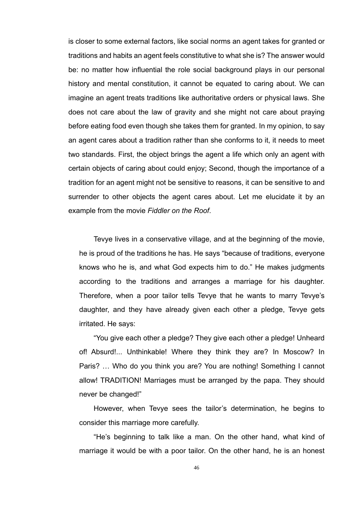is closer to some external factors, like social norms an agent takes for granted or traditions and habits an agent feels constitutive to what she is? The answer would be: no matter how influential the role social background plays in our personal history and mental constitution, it cannot be equated to caring about. We can imagine an agent treats traditions like authoritative orders or physical laws. She does not care about the law of gravity and she might not care about praying before eating food even though she takes them for granted. In my opinion, to say an agent cares about a tradition rather than she conforms to it, it needs to meet two standards. First, the object brings the agent a life which only an agent with certain objects of caring about could enjoy; Second, though the importance of a tradition for an agent might not be sensitive to reasons, it can be sensitive to and surrender to other objects the agent cares about. Let me elucidate it by an example from the movie *Fiddler on the Roof*.

Tevye lives in a conservative village, and at the beginning of the movie, he is proud of the traditions he has. He says "because of traditions, everyone knows who he is, and what God expects him to do." He makes judgments according to the traditions and arranges a marriage for his daughter. Therefore, when a poor tailor tells Tevye that he wants to marry Tevye's daughter, and they have already given each other a pledge, Tevye gets irritated. He says:

"You give each other a pledge? They give each other a pledge! Unheard of! Absurd!... Unthinkable! Where they think they are? In Moscow? In Paris? … Who do you think you are? You are nothing! Something I cannot allow! TRADITION! Marriages must be arranged by the papa. They should never be changed!"

However, when Tevye sees the tailor's determination, he begins to consider this marriage more carefully.

"He's beginning to talk like a man. On the other hand, what kind of marriage it would be with a poor tailor. On the other hand, he is an honest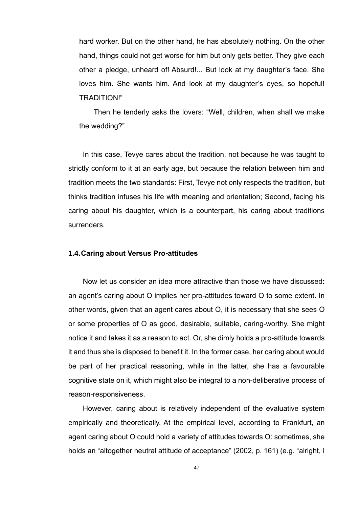hard worker. But on the other hand, he has absolutely nothing. On the other hand, things could not get worse for him but only gets better. They give each other a pledge, unheard of! Absurd!... But look at my daughter's face. She loves him. She wants him. And look at my daughter's eyes, so hopeful! TRADITION!"

Then he tenderly asks the lovers: "Well, children, when shall we make the wedding?"

In this case, Tevye cares about the tradition, not because he was taught to strictly conform to it at an early age, but because the relation between him and tradition meets the two standards: First, Tevye not only respects the tradition, but thinks tradition infuses his life with meaning and orientation; Second, facing his caring about his daughter, which is a counterpart, his caring about traditions surrenders.

### **1.4.Caring about Versus Pro-attitudes**

Now let us consider an idea more attractive than those we have discussed: an agent's caring about O implies her pro-attitudes toward O to some extent. In other words, given that an agent cares about O, it is necessary that she sees O or some properties of O as good, desirable, suitable, caring-worthy. She might notice it and takes it as a reason to act. Or, she dimly holds a pro-attitude towards it and thus she is disposed to benefit it. In the former case, her caring about would be part of her practical reasoning, while in the latter, she has a favourable cognitive state on it, which might also be integral to a non-deliberative process of reason-responsiveness.

However, caring about is relatively independent of the evaluative system empirically and theoretically. At the empirical level, according to Frankfurt, an agent caring about O could hold a variety of attitudes towards O: sometimes, she holds an "altogether neutral attitude of acceptance" (2002, p. 161) (e.g. "alright, I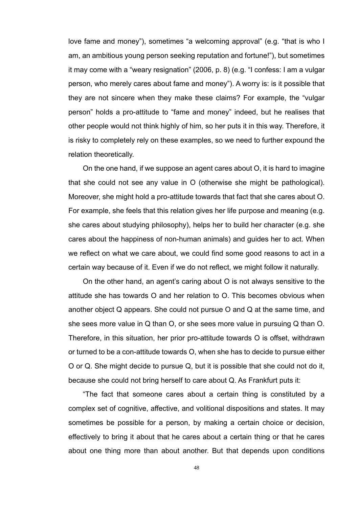love fame and money"), sometimes "a welcoming approval" (e.g. "that is who I am, an ambitious young person seeking reputation and fortune!"), but sometimes it may come with a "weary resignation" (2006, p. 8) (e.g. "I confess: I am a vulgar person, who merely cares about fame and money"). A worry is: is it possible that they are not sincere when they make these claims? For example, the "vulgar person" holds a pro-attitude to "fame and money" indeed, but he realises that other people would not think highly of him, so her puts it in this way. Therefore, it is risky to completely rely on these examples, so we need to further expound the relation theoretically.

On the one hand, if we suppose an agent cares about O, it is hard to imagine that she could not see any value in O (otherwise she might be pathological). Moreover, she might hold a pro-attitude towards that fact that she cares about O. For example, she feels that this relation gives her life purpose and meaning (e.g. she cares about studying philosophy), helps her to build her character (e.g. she cares about the happiness of non-human animals) and guides her to act. When we reflect on what we care about, we could find some good reasons to act in a certain way because of it. Even if we do not reflect, we might follow it naturally.

On the other hand, an agent's caring about O is not always sensitive to the attitude she has towards O and her relation to O. This becomes obvious when another object Q appears. She could not pursue O and Q at the same time, and she sees more value in Q than O, or she sees more value in pursuing Q than O. Therefore, in this situation, her prior pro-attitude towards O is offset, withdrawn or turned to be a con-attitude towards O, when she has to decide to pursue either O or Q. She might decide to pursue Q, but it is possible that she could not do it, because she could not bring herself to care about Q. As Frankfurt puts it:

"The fact that someone cares about a certain thing is constituted by a complex set of cognitive, affective, and volitional dispositions and states. It may sometimes be possible for a person, by making a certain choice or decision, effectively to bring it about that he cares about a certain thing or that he cares about one thing more than about another. But that depends upon conditions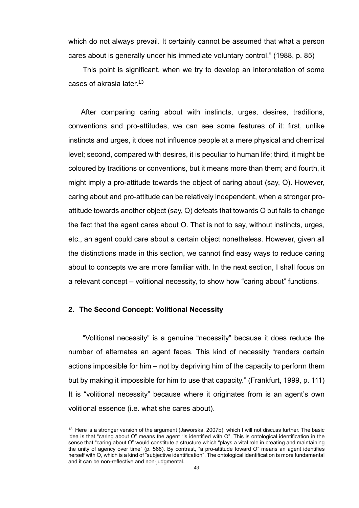which do not always prevail. It certainly cannot be assumed that what a person cares about is generally under his immediate voluntary control." (1988, p. 85)

This point is significant, when we try to develop an interpretation of some cases of akrasia later.<sup>13</sup>

After comparing caring about with instincts, urges, desires, traditions, conventions and pro-attitudes, we can see some features of it: first, unlike instincts and urges, it does not influence people at a mere physical and chemical level; second, compared with desires, it is peculiar to human life; third, it might be coloured by traditions or conventions, but it means more than them; and fourth, it might imply a pro-attitude towards the object of caring about (say, O). However, caring about and pro-attitude can be relatively independent, when a stronger proattitude towards another object (say, Q) defeats that towards O but fails to change the fact that the agent cares about O. That is not to say, without instincts, urges, etc., an agent could care about a certain object nonetheless. However, given all the distinctions made in this section, we cannot find easy ways to reduce caring about to concepts we are more familiar with. In the next section, I shall focus on a relevant concept – volitional necessity, to show how "caring about" functions.

# **2. The Second Concept: Volitional Necessity**

"Volitional necessity" is a genuine "necessity" because it does reduce the number of alternates an agent faces. This kind of necessity "renders certain actions impossible for him – not by depriving him of the capacity to perform them but by making it impossible for him to use that capacity." (Frankfurt, 1999, p. 111) It is "volitional necessity" because where it originates from is an agent's own volitional essence (i.e. what she cares about).

<sup>&</sup>lt;sup>13</sup> Here is a stronger version of the argument (Jaworska, 2007b), which I will not discuss further. The basic idea is that "caring about O" means the agent "is identified with O". This is ontological identification in the sense that "caring about O" would constitute a structure which "plays a vital role in creating and maintaining the unity of agency over time" (p. 568). By contrast, "a pro-attitude toward O" means an agent identifies herself with O, which is a kind of "subjective identification". The ontological identification is more fundamental and it can be non-reflective and non-judgmental.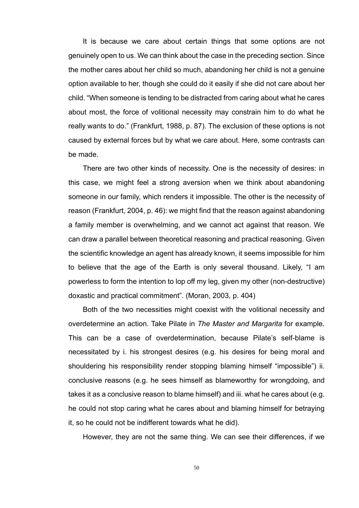It is because we care about certain things that some options are not genuinely open to us. We can think about the case in the preceding section. Since the mother cares about her child so much, abandoning her child is not a genuine option available to her, though she could do it easily if she did not care about her child. "When someone is tending to be distracted from caring about what he cares about most, the force of volitional necessity may constrain him to do what he really wants to do." (Frankfurt, 1988, p. 87). The exclusion of these options is not caused by external forces but by what we care about. Here, some contrasts can be made.

There are two other kinds of necessity. One is the necessity of desires: in this case, we might feel a strong aversion when we think about abandoning someone in our family, which renders it impossible. The other is the necessity of reason (Frankfurt, 2004, p. 46): we might find that the reason against abandoning a family member is overwhelming, and we cannot act against that reason. We can draw a parallel between theoretical reasoning and practical reasoning. Given the scientific knowledge an agent has already known, it seems impossible for him to believe that the age of the Earth is only several thousand. Likely, "I am powerless to form the intention to lop off my leg, given my other (non-destructive) doxastic and practical commitment". (Moran, 2003, p. 404)

Both of the two necessities might coexist with the volitional necessity and overdetermine an action. Take Pilate in *The Master and Margarita* for example*.* This can be a case of overdetermination, because Pilate's self-blame is necessitated by i. his strongest desires (e.g. his desires for being moral and shouldering his responsibility render stopping blaming himself "impossible") ii. conclusive reasons (e.g. he sees himself as blameworthy for wrongdoing, and takes it as a conclusive reason to blame himself) and iii. what he cares about (e.g. he could not stop caring what he cares about and blaming himself for betraying it, so he could not be indifferent towards what he did).

However, they are not the same thing. We can see their differences, if we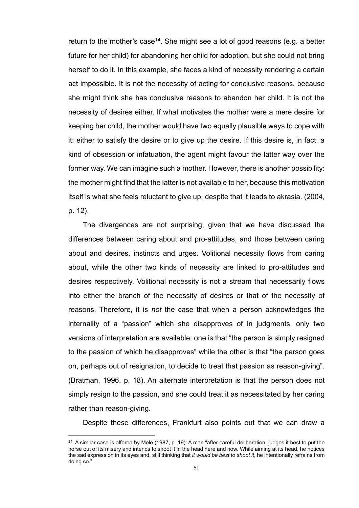return to the mother's case<sup>14</sup>. She might see a lot of good reasons (e.g. a better future for her child) for abandoning her child for adoption, but she could not bring herself to do it. In this example, she faces a kind of necessity rendering a certain act impossible. It is not the necessity of acting for conclusive reasons, because she might think she has conclusive reasons to abandon her child. It is not the necessity of desires either. If what motivates the mother were a mere desire for keeping her child, the mother would have two equally plausible ways to cope with it: either to satisfy the desire or to give up the desire. If this desire is, in fact, a kind of obsession or infatuation, the agent might favour the latter way over the former way. We can imagine such a mother. However, there is another possibility: the mother might find that the latter is not available to her, because this motivation itself is what she feels reluctant to give up, despite that it leads to akrasia. (2004, p. 12).

The divergences are not surprising, given that we have discussed the differences between caring about and pro-attitudes, and those between caring about and desires, instincts and urges. Volitional necessity flows from caring about, while the other two kinds of necessity are linked to pro-attitudes and desires respectively. Volitional necessity is not a stream that necessarily flows into either the branch of the necessity of desires or that of the necessity of reasons. Therefore, it is *not* the case that when a person acknowledges the internality of a "passion" which she disapproves of in judgments, only two versions of interpretation are available: one is that "the person is simply resigned to the passion of which he disapproves" while the other is that "the person goes on, perhaps out of resignation, to decide to treat that passion as reason-giving". (Bratman, 1996, p. 18). An alternate interpretation is that the person does not simply resign to the passion, and she could treat it as necessitated by her caring rather than reason-giving.

Despite these differences, Frankfurt also points out that we can draw a

<sup>14</sup> A similar case is offered by Mele (1987, p. 19): A man "after careful deliberation, judges it best to put the horse out of its misery and intends to shoot it in the head here and now. While aiming at its head, he notices the sad expression in its eyes and, still thinking that *it would be best to shoot it*, he intentionally refrains from doing so."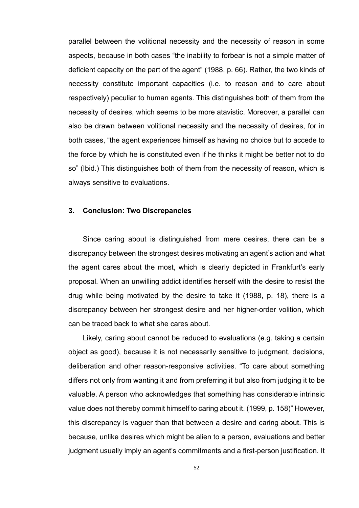parallel between the volitional necessity and the necessity of reason in some aspects, because in both cases "the inability to forbear is not a simple matter of deficient capacity on the part of the agent" (1988, p. 66). Rather, the two kinds of necessity constitute important capacities (i.e. to reason and to care about respectively) peculiar to human agents. This distinguishes both of them from the necessity of desires, which seems to be more atavistic. Moreover, a parallel can also be drawn between volitional necessity and the necessity of desires, for in both cases, "the agent experiences himself as having no choice but to accede to the force by which he is constituted even if he thinks it might be better not to do so" (Ibid.) This distinguishes both of them from the necessity of reason, which is always sensitive to evaluations.

# **3. Conclusion: Two Discrepancies**

Since caring about is distinguished from mere desires, there can be a discrepancy between the strongest desires motivating an agent's action and what the agent cares about the most, which is clearly depicted in Frankfurt's early proposal. When an unwilling addict identifies herself with the desire to resist the drug while being motivated by the desire to take it (1988, p. 18), there is a discrepancy between her strongest desire and her higher-order volition, which can be traced back to what she cares about.

Likely, caring about cannot be reduced to evaluations (e.g. taking a certain object as good), because it is not necessarily sensitive to judgment, decisions, deliberation and other reason-responsive activities. "To care about something differs not only from wanting it and from preferring it but also from judging it to be valuable. A person who acknowledges that something has considerable intrinsic value does not thereby commit himself to caring about it. (1999, p. 158)" However, this discrepancy is vaguer than that between a desire and caring about. This is because, unlike desires which might be alien to a person, evaluations and better judgment usually imply an agent's commitments and a first-person justification. It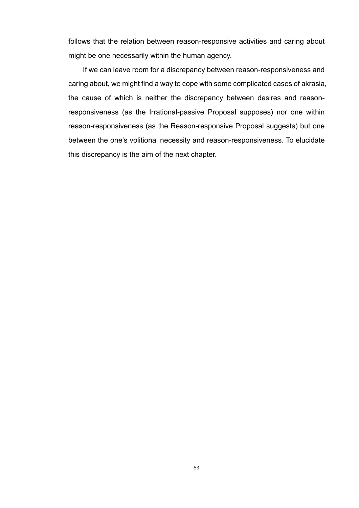follows that the relation between reason-responsive activities and caring about might be one necessarily within the human agency.

If we can leave room for a discrepancy between reason-responsiveness and caring about, we might find a way to cope with some complicated cases of akrasia, the cause of which is neither the discrepancy between desires and reasonresponsiveness (as the Irrational-passive Proposal supposes) nor one within reason-responsiveness (as the Reason-responsive Proposal suggests) but one between the one's volitional necessity and reason-responsiveness. To elucidate this discrepancy is the aim of the next chapter.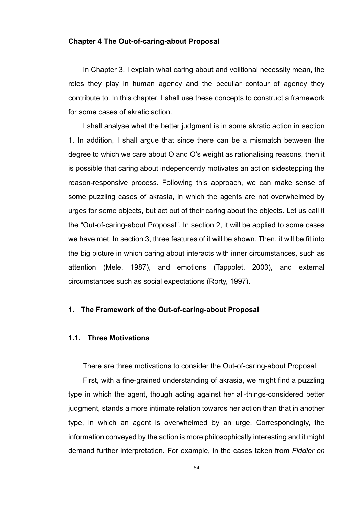## **Chapter 4 The Out-of-caring-about Proposal**

In Chapter 3, I explain what caring about and volitional necessity mean, the roles they play in human agency and the peculiar contour of agency they contribute to. In this chapter, I shall use these concepts to construct a framework for some cases of akratic action.

I shall analyse what the better judgment is in some akratic action in section 1. In addition, I shall argue that since there can be a mismatch between the degree to which we care about O and O's weight as rationalising reasons, then it is possible that caring about independently motivates an action sidestepping the reason-responsive process. Following this approach, we can make sense of some puzzling cases of akrasia, in which the agents are not overwhelmed by urges for some objects, but act out of their caring about the objects. Let us call it the "Out-of-caring-about Proposal". In section 2, it will be applied to some cases we have met. In section 3, three features of it will be shown. Then, it will be fit into the big picture in which caring about interacts with inner circumstances, such as attention (Mele, 1987), and emotions (Tappolet, 2003), and external circumstances such as social expectations (Rorty, 1997).

# **1. The Framework of the Out-of-caring-about Proposal**

## **1.1. Three Motivations**

There are three motivations to consider the Out-of-caring-about Proposal:

First, with a fine-grained understanding of akrasia, we might find a puzzling type in which the agent, though acting against her all-things-considered better judgment, stands a more intimate relation towards her action than that in another type, in which an agent is overwhelmed by an urge. Correspondingly, the information conveyed by the action is more philosophically interesting and it might demand further interpretation. For example, in the cases taken from *Fiddler on*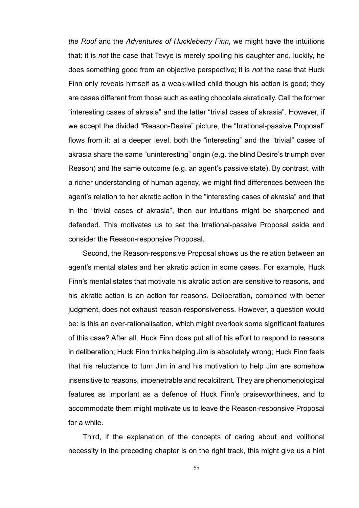*the Roof* and the *Adventures of Huckleberry Finn*, we might have the intuitions that: it is *not* the case that Tevye is merely spoiling his daughter and, luckily, he does something good from an objective perspective; it is *not* the case that Huck Finn only reveals himself as a weak-willed child though his action is good; they are cases different from those such as eating chocolate akratically. Call the former "interesting cases of akrasia" and the latter "trivial cases of akrasia". However, if we accept the divided "Reason-Desire" picture, the "Irrational-passive Proposal" flows from it: at a deeper level, both the "interesting" and the "trivial" cases of akrasia share the same "uninteresting" origin (e.g. the blind Desire's triumph over Reason) and the same outcome (e.g. an agent's passive state). By contrast, with a richer understanding of human agency, we might find differences between the agent's relation to her akratic action in the "interesting cases of akrasia" and that in the "trivial cases of akrasia", then our intuitions might be sharpened and defended. This motivates us to set the Irrational-passive Proposal aside and consider the Reason-responsive Proposal.

Second, the Reason-responsive Proposal shows us the relation between an agent's mental states and her akratic action in some cases. For example, Huck Finn's mental states that motivate his akratic action are sensitive to reasons, and his akratic action is an action for reasons. Deliberation, combined with better judgment, does not exhaust reason-responsiveness. However, a question would be: is this an over-rationalisation, which might overlook some significant features of this case? After all, Huck Finn does put all of his effort to respond to reasons in deliberation; Huck Finn thinks helping Jim is absolutely wrong; Huck Finn feels that his reluctance to turn Jim in and his motivation to help Jim are somehow insensitive to reasons, impenetrable and recalcitrant. They are phenomenological features as important as a defence of Huck Finn's praiseworthiness, and to accommodate them might motivate us to leave the Reason-responsive Proposal for a while.

Third, if the explanation of the concepts of caring about and volitional necessity in the preceding chapter is on the right track, this might give us a hint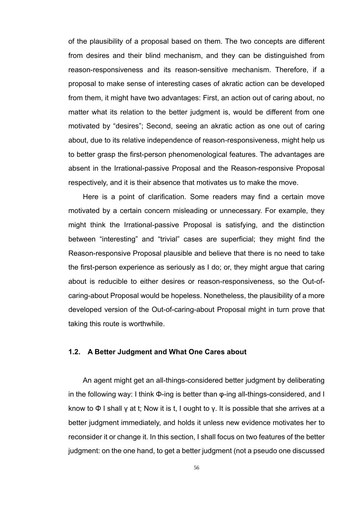of the plausibility of a proposal based on them. The two concepts are different from desires and their blind mechanism, and they can be distinguished from reason-responsiveness and its reason-sensitive mechanism. Therefore, if a proposal to make sense of interesting cases of akratic action can be developed from them, it might have two advantages: First, an action out of caring about, no matter what its relation to the better judgment is, would be different from one motivated by "desires"; Second, seeing an akratic action as one out of caring about, due to its relative independence of reason-responsiveness, might help us to better grasp the first-person phenomenological features. The advantages are absent in the Irrational-passive Proposal and the Reason-responsive Proposal respectively, and it is their absence that motivates us to make the move.

Here is a point of clarification. Some readers may find a certain move motivated by a certain concern misleading or unnecessary. For example, they might think the Irrational-passive Proposal is satisfying, and the distinction between "interesting" and "trivial" cases are superficial; they might find the Reason-responsive Proposal plausible and believe that there is no need to take the first-person experience as seriously as I do; or, they might argue that caring about is reducible to either desires or reason-responsiveness, so the Out-ofcaring-about Proposal would be hopeless. Nonetheless, the plausibility of a more developed version of the Out-of-caring-about Proposal might in turn prove that taking this route is worthwhile.

#### **1.2. A Better Judgment and What One Cares about**

An agent might get an all-things-considered better judgment by deliberating in the following way: I think Φ-ing is better than φ-ing all-things-considered, and I know to  $\Phi$  I shall  $\gamma$  at t; Now it is t, I ought to  $\gamma$ . It is possible that she arrives at a better judgment immediately, and holds it unless new evidence motivates her to reconsider it or change it. In this section, I shall focus on two features of the better judgment: on the one hand, to get a better judgment (not a pseudo one discussed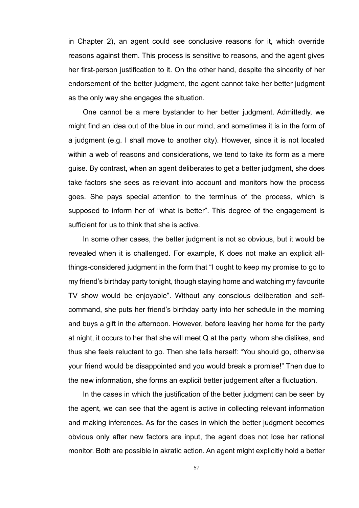in Chapter 2), an agent could see conclusive reasons for it, which override reasons against them. This process is sensitive to reasons, and the agent gives her first-person justification to it. On the other hand, despite the sincerity of her endorsement of the better judgment, the agent cannot take her better judgment as the only way she engages the situation.

One cannot be a mere bystander to her better judgment. Admittedly, we might find an idea out of the blue in our mind, and sometimes it is in the form of a judgment (e.g. I shall move to another city). However, since it is not located within a web of reasons and considerations, we tend to take its form as a mere guise. By contrast, when an agent deliberates to get a better judgment, she does take factors she sees as relevant into account and monitors how the process goes. She pays special attention to the terminus of the process, which is supposed to inform her of "what is better". This degree of the engagement is sufficient for us to think that she is active.

In some other cases, the better judgment is not so obvious, but it would be revealed when it is challenged. For example, K does not make an explicit allthings-considered judgment in the form that "I ought to keep my promise to go to my friend's birthday party tonight, though staying home and watching my favourite TV show would be enjoyable". Without any conscious deliberation and selfcommand, she puts her friend's birthday party into her schedule in the morning and buys a gift in the afternoon. However, before leaving her home for the party at night, it occurs to her that she will meet Q at the party, whom she dislikes, and thus she feels reluctant to go. Then she tells herself: "You should go, otherwise your friend would be disappointed and you would break a promise!" Then due to the new information, she forms an explicit better judgement after a fluctuation.

In the cases in which the justification of the better judgment can be seen by the agent, we can see that the agent is active in collecting relevant information and making inferences. As for the cases in which the better judgment becomes obvious only after new factors are input, the agent does not lose her rational monitor. Both are possible in akratic action. An agent might explicitly hold a better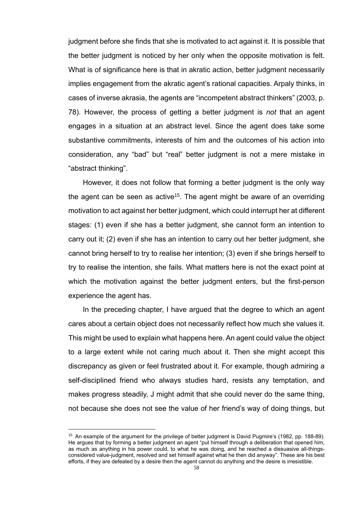judgment before she finds that she is motivated to act against it. It is possible that the better judgment is noticed by her only when the opposite motivation is felt. What is of significance here is that in akratic action, better judgment necessarily implies engagement from the akratic agent's rational capacities. Arpaly thinks, in cases of inverse akrasia, the agents are "incompetent abstract thinkers" (2003, p. 78). However, the process of getting a better judgment is *not* that an agent engages in a situation at an abstract level. Since the agent does take some substantive commitments, interests of him and the outcomes of his action into consideration, any "bad" but "real" better judgment is not a mere mistake in "abstract thinking".

However, it does not follow that forming a better judgment is the only way the agent can be seen as active<sup>15</sup>. The agent might be aware of an overriding motivation to act against her better judgment, which could interrupt her at different stages: (1) even if she has a better judgment, she cannot form an intention to carry out it; (2) even if she has an intention to carry out her better judgment, she cannot bring herself to try to realise her intention; (3) even if she brings herself to try to realise the intention, she fails. What matters here is not the exact point at which the motivation against the better judgment enters, but the first-person experience the agent has.

In the preceding chapter, I have argued that the degree to which an agent cares about a certain object does not necessarily reflect how much she values it. This might be used to explain what happens here. An agent could value the object to a large extent while not caring much about it. Then she might accept this discrepancy as given or feel frustrated about it. For example, though admiring a self-disciplined friend who always studies hard, resists any temptation, and makes progress steadily, J might admit that she could never do the same thing, not because she does not see the value of her friend's way of doing things, but

<sup>15</sup> An example of the argument for the privilege of better judgment is David Pugmire's (1982, pp. 188-89). He argues that by forming a better judgment an agent "put himself through a deliberation that opened him, as much as anything in his power could, to what he was doing, and he reached a dissuasive all-thingsconsidered value-judgment, resolved and set himself against what he then did anyway". These are his best efforts, if they are defeated by a desire then the agent cannot do anything and the desire is irresistible.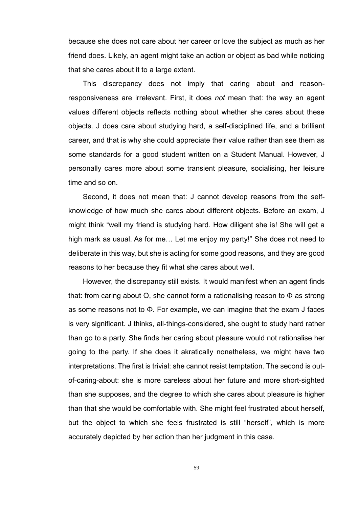because she does not care about her career or love the subject as much as her friend does. Likely, an agent might take an action or object as bad while noticing that she cares about it to a large extent.

This discrepancy does not imply that caring about and reasonresponsiveness are irrelevant. First, it does *not* mean that: the way an agent values different objects reflects nothing about whether she cares about these objects. J does care about studying hard, a self-disciplined life, and a brilliant career, and that is why she could appreciate their value rather than see them as some standards for a good student written on a Student Manual. However, J personally cares more about some transient pleasure, socialising, her leisure time and so on.

Second, it does not mean that: J cannot develop reasons from the selfknowledge of how much she cares about different objects. Before an exam, J might think "well my friend is studying hard. How diligent she is! She will get a high mark as usual. As for me… Let me enjoy my party!" She does not need to deliberate in this way, but she is acting for some good reasons, and they are good reasons to her because they fit what she cares about well.

However, the discrepancy still exists. It would manifest when an agent finds that: from caring about O, she cannot form a rationalising reason to Φ as strong as some reasons not to Φ. For example, we can imagine that the exam J faces is very significant. J thinks, all-things-considered, she ought to study hard rather than go to a party. She finds her caring about pleasure would not rationalise her going to the party. If she does it akratically nonetheless, we might have two interpretations. The first is trivial: she cannot resist temptation. The second is outof-caring-about: she is more careless about her future and more short-sighted than she supposes, and the degree to which she cares about pleasure is higher than that she would be comfortable with. She might feel frustrated about herself, but the object to which she feels frustrated is still "herself", which is more accurately depicted by her action than her judgment in this case.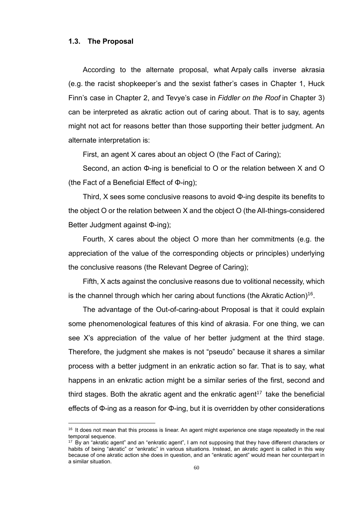#### **1.3. The Proposal**

According to the alternate proposal, what Arpaly calls inverse akrasia (e.g. the racist shopkeeper's and the sexist father's cases in Chapter 1, Huck Finn's case in Chapter 2, and Tevye's case in *Fiddler on the Roof* in Chapter 3) can be interpreted as akratic action out of caring about. That is to say, agents might not act for reasons better than those supporting their better judgment. An alternate interpretation is:

First, an agent X cares about an object O (the Fact of Caring);

Second, an action Φ-ing is beneficial to O or the relation between X and O (the Fact of a Beneficial Effect of Φ-ing);

Third, X sees some conclusive reasons to avoid Φ-ing despite its benefits to the object O or the relation between X and the object O (the All-things-considered Better Judgment against Φ-ing);

Fourth, X cares about the object O more than her commitments (e.g. the appreciation of the value of the corresponding objects or principles) underlying the conclusive reasons (the Relevant Degree of Caring);

Fifth, X acts against the conclusive reasons due to volitional necessity, which is the channel through which her caring about functions (the Akratic Action)<sup>16</sup>.

The advantage of the Out-of-caring-about Proposal is that it could explain some phenomenological features of this kind of akrasia. For one thing, we can see X's appreciation of the value of her better judgment at the third stage. Therefore, the judgment she makes is not "pseudo" because it shares a similar process with a better judgment in an enkratic action so far. That is to say, what happens in an enkratic action might be a similar series of the first, second and third stages. Both the akratic agent and the enkratic agent<sup>17</sup> take the beneficial effects of Φ-ing as a reason for Φ-ing, but it is overridden by other considerations

<sup>&</sup>lt;sup>16</sup> It does not mean that this process is linear. An agent might experience one stage repeatedly in the real temporal sequence.

<sup>&</sup>lt;sup>17</sup> By an "akratic agent" and an "enkratic agent", I am not supposing that they have different characters or habits of being "akratic" or "enkratic" in various situations. Instead, an akratic agent is called in this way because of one akratic action she does in question, and an "enkratic agent" would mean her counterpart in a similar situation.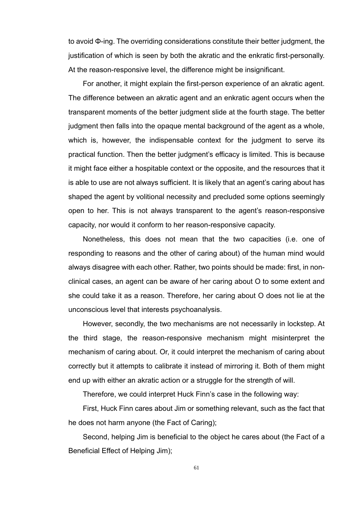to avoid Φ-ing. The overriding considerations constitute their better judgment, the justification of which is seen by both the akratic and the enkratic first-personally. At the reason-responsive level, the difference might be insignificant.

For another, it might explain the first-person experience of an akratic agent. The difference between an akratic agent and an enkratic agent occurs when the transparent moments of the better judgment slide at the fourth stage. The better judgment then falls into the opaque mental background of the agent as a whole, which is, however, the indispensable context for the judgment to serve its practical function. Then the better judgment's efficacy is limited. This is because it might face either a hospitable context or the opposite, and the resources that it is able to use are not always sufficient. It is likely that an agent's caring about has shaped the agent by volitional necessity and precluded some options seemingly open to her. This is not always transparent to the agent's reason-responsive capacity, nor would it conform to her reason-responsive capacity.

Nonetheless, this does not mean that the two capacities (i.e. one of responding to reasons and the other of caring about) of the human mind would always disagree with each other. Rather, two points should be made: first, in nonclinical cases, an agent can be aware of her caring about O to some extent and she could take it as a reason. Therefore, her caring about O does not lie at the unconscious level that interests psychoanalysis.

However, secondly, the two mechanisms are not necessarily in lockstep. At the third stage, the reason-responsive mechanism might misinterpret the mechanism of caring about. Or, it could interpret the mechanism of caring about correctly but it attempts to calibrate it instead of mirroring it. Both of them might end up with either an akratic action or a struggle for the strength of will.

Therefore, we could interpret Huck Finn's case in the following way:

First, Huck Finn cares about Jim or something relevant, such as the fact that he does not harm anyone (the Fact of Caring);

Second, helping Jim is beneficial to the object he cares about (the Fact of a Beneficial Effect of Helping Jim);

61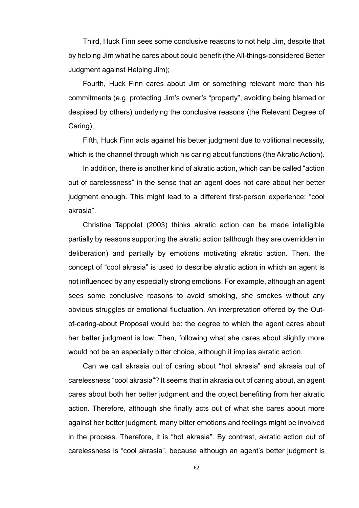Third, Huck Finn sees some conclusive reasons to not help Jim, despite that by helping Jim what he cares about could benefit (the All-things-considered Better Judgment against Helping Jim);

Fourth, Huck Finn cares about Jim or something relevant more than his commitments (e.g. protecting Jim's owner's "property", avoiding being blamed or despised by others) underlying the conclusive reasons (the Relevant Degree of Caring);

Fifth, Huck Finn acts against his better judgment due to volitional necessity, which is the channel through which his caring about functions (the Akratic Action).

In addition, there is another kind of akratic action, which can be called "action out of carelessness" in the sense that an agent does not care about her better judgment enough. This might lead to a different first-person experience: "cool akrasia".

Christine Tappolet (2003) thinks akratic action can be made intelligible partially by reasons supporting the akratic action (although they are overridden in deliberation) and partially by emotions motivating akratic action. Then, the concept of "cool akrasia" is used to describe akratic action in which an agent is not influenced by any especially strong emotions. For example, although an agent sees some conclusive reasons to avoid smoking, she smokes without any obvious struggles or emotional fluctuation. An interpretation offered by the Outof-caring-about Proposal would be: the degree to which the agent cares about her better judgment is low. Then, following what she cares about slightly more would not be an especially bitter choice, although it implies akratic action.

Can we call akrasia out of caring about "hot akrasia" and akrasia out of carelessness "cool akrasia"? It seems that in akrasia out of caring about, an agent cares about both her better judgment and the object benefiting from her akratic action. Therefore, although she finally acts out of what she cares about more against her better judgment, many bitter emotions and feelings might be involved in the process. Therefore, it is "hot akrasia". By contrast, akratic action out of carelessness is "cool akrasia", because although an agent's better judgment is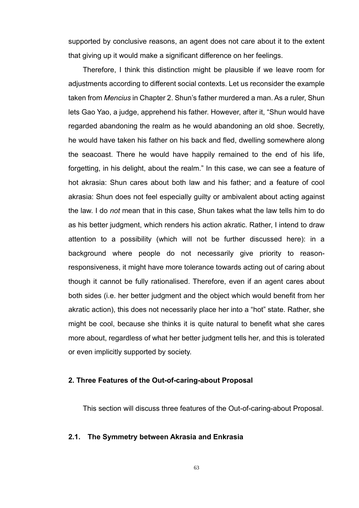supported by conclusive reasons, an agent does not care about it to the extent that giving up it would make a significant difference on her feelings.

Therefore, I think this distinction might be plausible if we leave room for adjustments according to different social contexts. Let us reconsider the example taken from *Mencius* in Chapter 2. Shun's father murdered a man. As a ruler, Shun lets Gao Yao, a judge, apprehend his father. However, after it, "Shun would have regarded abandoning the realm as he would abandoning an old shoe. Secretly, he would have taken his father on his back and fled, dwelling somewhere along the seacoast. There he would have happily remained to the end of his life, forgetting, in his delight, about the realm." In this case, we can see a feature of hot akrasia: Shun cares about both law and his father; and a feature of cool akrasia: Shun does not feel especially guilty or ambivalent about acting against the law. I do *not* mean that in this case, Shun takes what the law tells him to do as his better judgment, which renders his action akratic. Rather, I intend to draw attention to a possibility (which will not be further discussed here): in a background where people do not necessarily give priority to reasonresponsiveness, it might have more tolerance towards acting out of caring about though it cannot be fully rationalised. Therefore, even if an agent cares about both sides (i.e. her better judgment and the object which would benefit from her akratic action), this does not necessarily place her into a "hot" state. Rather, she might be cool, because she thinks it is quite natural to benefit what she cares more about, regardless of what her better judgment tells her, and this is tolerated or even implicitly supported by society.

# **2. Three Features of the Out-of-caring-about Proposal**

This section will discuss three features of the Out-of-caring-about Proposal.

## **2.1. The Symmetry between Akrasia and Enkrasia**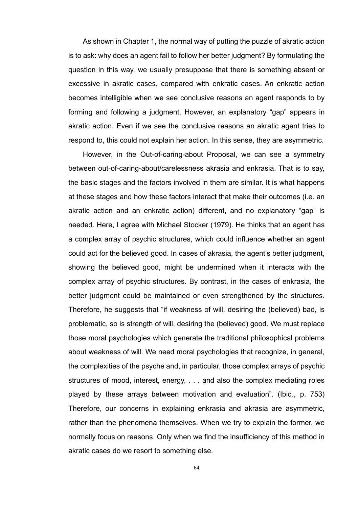As shown in Chapter 1, the normal way of putting the puzzle of akratic action is to ask: why does an agent fail to follow her better judgment? By formulating the question in this way, we usually presuppose that there is something absent or excessive in akratic cases, compared with enkratic cases. An enkratic action becomes intelligible when we see conclusive reasons an agent responds to by forming and following a judgment. However, an explanatory "gap" appears in akratic action. Even if we see the conclusive reasons an akratic agent tries to respond to, this could not explain her action. In this sense, they are asymmetric.

However, in the Out-of-caring-about Proposal, we can see a symmetry between out-of-caring-about/carelessness akrasia and enkrasia. That is to say, the basic stages and the factors involved in them are similar. It is what happens at these stages and how these factors interact that make their outcomes (i.e. an akratic action and an enkratic action) different, and no explanatory "gap" is needed. Here, I agree with Michael Stocker (1979). He thinks that an agent has a complex array of psychic structures, which could influence whether an agent could act for the believed good. In cases of akrasia, the agent's better judgment, showing the believed good, might be undermined when it interacts with the complex array of psychic structures. By contrast, in the cases of enkrasia, the better judgment could be maintained or even strengthened by the structures. Therefore, he suggests that "if weakness of will, desiring the (believed) bad, is problematic, so is strength of will, desiring the (believed) good. We must replace those moral psychologies which generate the traditional philosophical problems about weakness of will. We need moral psychologies that recognize, in general, the complexities of the psyche and, in particular, those complex arrays of psychic structures of mood, interest, energy, . . . and also the complex mediating roles played by these arrays between motivation and evaluation". (Ibid., p. 753) Therefore, our concerns in explaining enkrasia and akrasia are asymmetric, rather than the phenomena themselves. When we try to explain the former, we normally focus on reasons. Only when we find the insufficiency of this method in akratic cases do we resort to something else.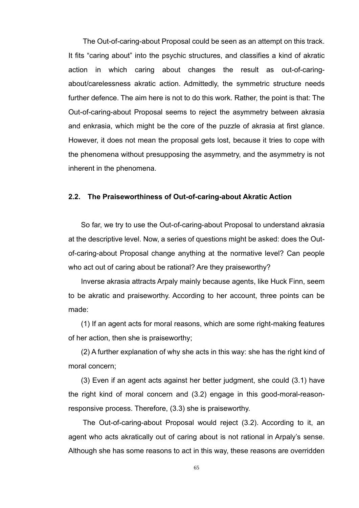The Out-of-caring-about Proposal could be seen as an attempt on this track. It fits "caring about" into the psychic structures, and classifies a kind of akratic action in which caring about changes the result as out-of-caringabout/carelessness akratic action. Admittedly, the symmetric structure needs further defence. The aim here is not to do this work. Rather, the point is that: The Out-of-caring-about Proposal seems to reject the asymmetry between akrasia and enkrasia, which might be the core of the puzzle of akrasia at first glance. However, it does not mean the proposal gets lost, because it tries to cope with the phenomena without presupposing the asymmetry, and the asymmetry is not inherent in the phenomena.

## **2.2. The Praiseworthiness of Out-of-caring-about Akratic Action**

So far, we try to use the Out-of-caring-about Proposal to understand akrasia at the descriptive level. Now, a series of questions might be asked: does the Outof-caring-about Proposal change anything at the normative level? Can people who act out of caring about be rational? Are they praiseworthy?

Inverse akrasia attracts Arpaly mainly because agents, like Huck Finn, seem to be akratic and praiseworthy. According to her account, three points can be made:

(1) If an agent acts for moral reasons, which are some right-making features of her action, then she is praiseworthy;

(2) A further explanation of why she acts in this way: she has the right kind of moral concern;

(3) Even if an agent acts against her better judgment, she could (3.1) have the right kind of moral concern and (3.2) engage in this good-moral-reasonresponsive process. Therefore, (3.3) she is praiseworthy.

The Out-of-caring-about Proposal would reject (3.2). According to it, an agent who acts akratically out of caring about is not rational in Arpaly's sense. Although she has some reasons to act in this way, these reasons are overridden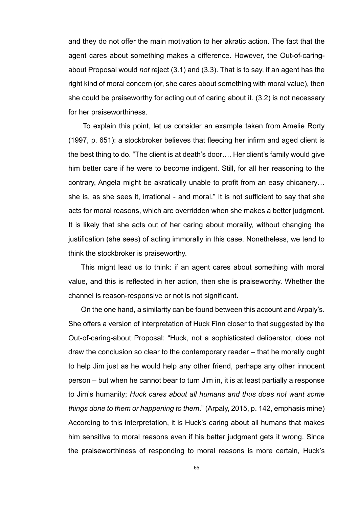and they do not offer the main motivation to her akratic action. The fact that the agent cares about something makes a difference. However, the Out-of-caringabout Proposal would *not* reject (3.1) and (3.3). That is to say, if an agent has the right kind of moral concern (or, she cares about something with moral value), then she could be praiseworthy for acting out of caring about it. (3.2) is not necessary for her praiseworthiness.

To explain this point, let us consider an example taken from Amelie Rorty (1997, p. 651): a stockbroker believes that fleecing her infirm and aged client is the best thing to do. "The client is at death's door…. Her client's family would give him better care if he were to become indigent. Still, for all her reasoning to the contrary, Angela might be akratically unable to profit from an easy chicanery… she is, as she sees it, irrational - and moral." It is not sufficient to say that she acts for moral reasons, which are overridden when she makes a better judgment. It is likely that she acts out of her caring about morality, without changing the justification (she sees) of acting immorally in this case. Nonetheless, we tend to think the stockbroker is praiseworthy.

This might lead us to think: if an agent cares about something with moral value, and this is reflected in her action, then she is praiseworthy. Whether the channel is reason-responsive or not is not significant.

On the one hand, a similarity can be found between this account and Arpaly's. She offers a version of interpretation of Huck Finn closer to that suggested by the Out-of-caring-about Proposal: "Huck, not a sophisticated deliberator, does not draw the conclusion so clear to the contemporary reader – that he morally ought to help Jim just as he would help any other friend, perhaps any other innocent person – but when he cannot bear to turn Jim in, it is at least partially a response to Jim's humanity; *Huck cares about all humans and thus does not want some things done to them or happening to them*." (Arpaly, 2015, p. 142, emphasis mine) According to this interpretation, it is Huck's caring about all humans that makes him sensitive to moral reasons even if his better judgment gets it wrong. Since the praiseworthiness of responding to moral reasons is more certain, Huck's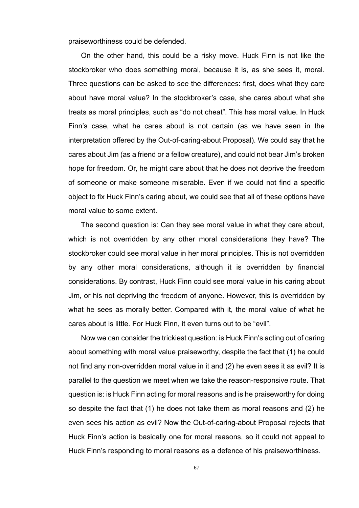praiseworthiness could be defended.

On the other hand, this could be a risky move. Huck Finn is not like the stockbroker who does something moral, because it is, as she sees it, moral. Three questions can be asked to see the differences: first, does what they care about have moral value? In the stockbroker's case, she cares about what she treats as moral principles, such as "do not cheat". This has moral value. In Huck Finn's case, what he cares about is not certain (as we have seen in the interpretation offered by the Out-of-caring-about Proposal). We could say that he cares about Jim (as a friend or a fellow creature), and could not bear Jim's broken hope for freedom. Or, he might care about that he does not deprive the freedom of someone or make someone miserable. Even if we could not find a specific object to fix Huck Finn's caring about, we could see that all of these options have moral value to some extent.

The second question is: Can they see moral value in what they care about, which is not overridden by any other moral considerations they have? The stockbroker could see moral value in her moral principles. This is not overridden by any other moral considerations, although it is overridden by financial considerations. By contrast, Huck Finn could see moral value in his caring about Jim, or his not depriving the freedom of anyone. However, this is overridden by what he sees as morally better. Compared with it, the moral value of what he cares about is little. For Huck Finn, it even turns out to be "evil".

Now we can consider the trickiest question: is Huck Finn's acting out of caring about something with moral value praiseworthy, despite the fact that (1) he could not find any non-overridden moral value in it and (2) he even sees it as evil? It is parallel to the question we meet when we take the reason-responsive route. That question is: is Huck Finn acting for moral reasons and is he praiseworthy for doing so despite the fact that (1) he does not take them as moral reasons and (2) he even sees his action as evil? Now the Out-of-caring-about Proposal rejects that Huck Finn's action is basically one for moral reasons, so it could not appeal to Huck Finn's responding to moral reasons as a defence of his praiseworthiness.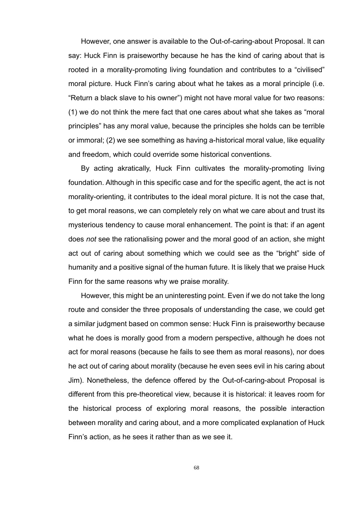However, one answer is available to the Out-of-caring-about Proposal. It can say: Huck Finn is praiseworthy because he has the kind of caring about that is rooted in a morality-promoting living foundation and contributes to a "civilised" moral picture. Huck Finn's caring about what he takes as a moral principle (i.e. "Return a black slave to his owner") might not have moral value for two reasons: (1) we do not think the mere fact that one cares about what she takes as "moral principles" has any moral value, because the principles she holds can be terrible or immoral; (2) we see something as having a-historical moral value, like equality and freedom, which could override some historical conventions.

By acting akratically, Huck Finn cultivates the morality-promoting living foundation. Although in this specific case and for the specific agent, the act is not morality-orienting, it contributes to the ideal moral picture. It is not the case that, to get moral reasons, we can completely rely on what we care about and trust its mysterious tendency to cause moral enhancement. The point is that: if an agent does *not* see the rationalising power and the moral good of an action, she might act out of caring about something which we could see as the "bright" side of humanity and a positive signal of the human future. It is likely that we praise Huck Finn for the same reasons why we praise morality.

However, this might be an uninteresting point. Even if we do not take the long route and consider the three proposals of understanding the case, we could get a similar judgment based on common sense: Huck Finn is praiseworthy because what he does is morally good from a modern perspective, although he does not act for moral reasons (because he fails to see them as moral reasons), nor does he act out of caring about morality (because he even sees evil in his caring about Jim). Nonetheless, the defence offered by the Out-of-caring-about Proposal is different from this pre-theoretical view, because it is historical: it leaves room for the historical process of exploring moral reasons, the possible interaction between morality and caring about, and a more complicated explanation of Huck Finn's action, as he sees it rather than as we see it.

68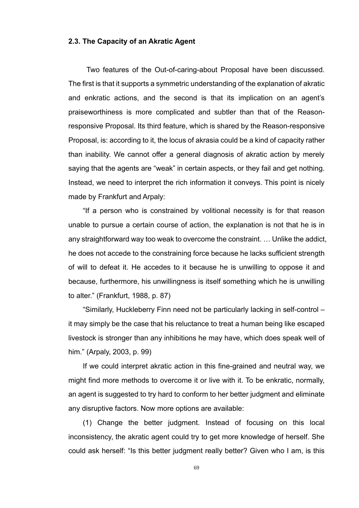# **2.3. The Capacity of an Akratic Agent**

Two features of the Out-of-caring-about Proposal have been discussed. The first is that it supports a symmetric understanding of the explanation of akratic and enkratic actions, and the second is that its implication on an agent's praiseworthiness is more complicated and subtler than that of the Reasonresponsive Proposal. Its third feature, which is shared by the Reason-responsive Proposal, is: according to it, the locus of akrasia could be a kind of capacity rather than inability. We cannot offer a general diagnosis of akratic action by merely saying that the agents are "weak" in certain aspects, or they fail and get nothing. Instead, we need to interpret the rich information it conveys. This point is nicely made by Frankfurt and Arpaly:

"If a person who is constrained by volitional necessity is for that reason unable to pursue a certain course of action, the explanation is not that he is in any straightforward way too weak to overcome the constraint. … Unlike the addict, he does not accede to the constraining force because he lacks sufficient strength of will to defeat it. He accedes to it because he is unwilling to oppose it and because, furthermore, his unwillingness is itself something which he is unwilling to alter." (Frankfurt, 1988, p. 87)

"Similarly, Huckleberry Finn need not be particularly lacking in self-control – it may simply be the case that his reluctance to treat a human being like escaped livestock is stronger than any inhibitions he may have, which does speak well of him." (Arpaly, 2003, p. 99)

If we could interpret akratic action in this fine-grained and neutral way, we might find more methods to overcome it or live with it. To be enkratic, normally, an agent is suggested to try hard to conform to her better judgment and eliminate any disruptive factors. Now more options are available:

(1) Change the better judgment. Instead of focusing on this local inconsistency, the akratic agent could try to get more knowledge of herself. She could ask herself: "Is this better judgment really better? Given who I am, is this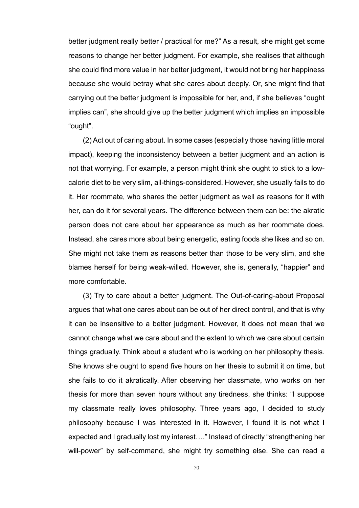better judgment really better / practical for me?" As a result, she might get some reasons to change her better judgment. For example, she realises that although she could find more value in her better judgment, it would not bring her happiness because she would betray what she cares about deeply. Or, she might find that carrying out the better judgment is impossible for her, and, if she believes "ought implies can", she should give up the better judgment which implies an impossible "ought".

(2) Act out of caring about. In some cases (especially those having little moral impact), keeping the inconsistency between a better judgment and an action is not that worrying. For example, a person might think she ought to stick to a lowcalorie diet to be very slim, all-things-considered. However, she usually fails to do it. Her roommate, who shares the better judgment as well as reasons for it with her, can do it for several years. The difference between them can be: the akratic person does not care about her appearance as much as her roommate does. Instead, she cares more about being energetic, eating foods she likes and so on. She might not take them as reasons better than those to be very slim, and she blames herself for being weak-willed. However, she is, generally, "happier" and more comfortable.

(3) Try to care about a better judgment. The Out-of-caring-about Proposal argues that what one cares about can be out of her direct control, and that is why it can be insensitive to a better judgment. However, it does not mean that we cannot change what we care about and the extent to which we care about certain things gradually. Think about a student who is working on her philosophy thesis. She knows she ought to spend five hours on her thesis to submit it on time, but she fails to do it akratically. After observing her classmate, who works on her thesis for more than seven hours without any tiredness, she thinks: "I suppose my classmate really loves philosophy. Three years ago, I decided to study philosophy because I was interested in it. However, I found it is not what I expected and I gradually lost my interest…." Instead of directly "strengthening her will-power" by self-command, she might try something else. She can read a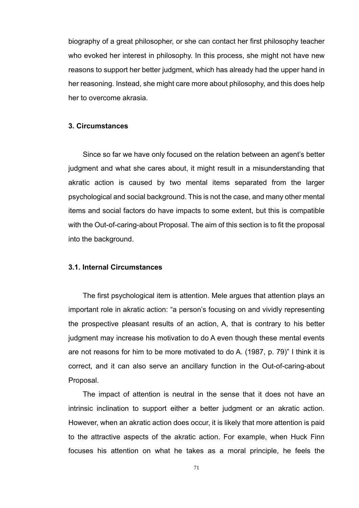biography of a great philosopher, or she can contact her first philosophy teacher who evoked her interest in philosophy. In this process, she might not have new reasons to support her better judgment, which has already had the upper hand in her reasoning. Instead, she might care more about philosophy, and this does help her to overcome akrasia.

## **3. Circumstances**

Since so far we have only focused on the relation between an agent's better judgment and what she cares about, it might result in a misunderstanding that akratic action is caused by two mental items separated from the larger psychological and social background. This is not the case, and many other mental items and social factors do have impacts to some extent, but this is compatible with the Out-of-caring-about Proposal. The aim of this section is to fit the proposal into the background.

## **3.1. Internal Circumstances**

The first psychological item is attention. Mele argues that attention plays an important role in akratic action: "a person's focusing on and vividly representing the prospective pleasant results of an action, A, that is contrary to his better judgment may increase his motivation to do A even though these mental events are not reasons for him to be more motivated to do A. (1987, p. 79)" I think it is correct, and it can also serve an ancillary function in the Out-of-caring-about Proposal.

The impact of attention is neutral in the sense that it does not have an intrinsic inclination to support either a better judgment or an akratic action. However, when an akratic action does occur, it is likely that more attention is paid to the attractive aspects of the akratic action. For example, when Huck Finn focuses his attention on what he takes as a moral principle, he feels the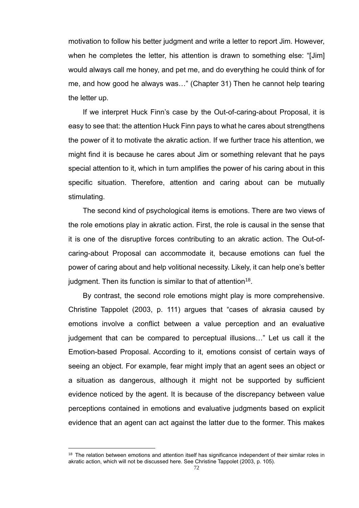motivation to follow his better judgment and write a letter to report Jim. However, when he completes the letter, his attention is drawn to something else: "[Jim] would always call me honey, and pet me, and do everything he could think of for me, and how good he always was…" (Chapter 31) Then he cannot help tearing the letter up.

If we interpret Huck Finn's case by the Out-of-caring-about Proposal, it is easy to see that: the attention Huck Finn pays to what he cares about strengthens the power of it to motivate the akratic action. If we further trace his attention, we might find it is because he cares about Jim or something relevant that he pays special attention to it, which in turn amplifies the power of his caring about in this specific situation. Therefore, attention and caring about can be mutually stimulating.

The second kind of psychological items is emotions. There are two views of the role emotions play in akratic action. First, the role is causal in the sense that it is one of the disruptive forces contributing to an akratic action. The Out-ofcaring-about Proposal can accommodate it, because emotions can fuel the power of caring about and help volitional necessity. Likely, it can help one's better judgment. Then its function is similar to that of attention $^{18}$ .

By contrast, the second role emotions might play is more comprehensive. Christine Tappolet (2003, p. 111) argues that "cases of akrasia caused by emotions involve a conflict between a value perception and an evaluative judgement that can be compared to perceptual illusions…" Let us call it the Emotion-based Proposal. According to it, emotions consist of certain ways of seeing an object. For example, fear might imply that an agent sees an object or a situation as dangerous, although it might not be supported by sufficient evidence noticed by the agent. It is because of the discrepancy between value perceptions contained in emotions and evaluative judgments based on explicit evidence that an agent can act against the latter due to the former. This makes

<sup>&</sup>lt;sup>18</sup> The relation between emotions and attention itself has significance independent of their similar roles in akratic action, which will not be discussed here. See Christine Tappolet (2003, p. 105).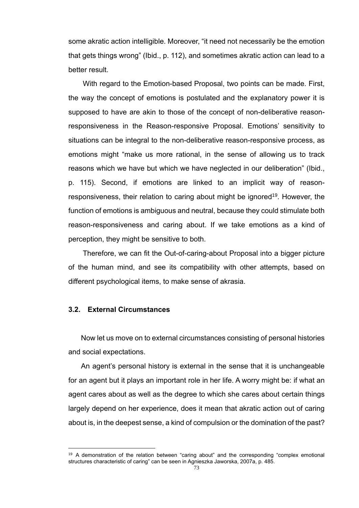some akratic action intelligible. Moreover, "it need not necessarily be the emotion that gets things wrong" (Ibid., p. 112), and sometimes akratic action can lead to a better result.

With regard to the Emotion-based Proposal, two points can be made. First, the way the concept of emotions is postulated and the explanatory power it is supposed to have are akin to those of the concept of non-deliberative reasonresponsiveness in the Reason-responsive Proposal. Emotions' sensitivity to situations can be integral to the non-deliberative reason-responsive process, as emotions might "make us more rational, in the sense of allowing us to track reasons which we have but which we have neglected in our deliberation" (Ibid., p. 115). Second, if emotions are linked to an implicit way of reasonresponsiveness, their relation to caring about might be ignored<sup>19</sup>. However, the function of emotions is ambiguous and neutral, because they could stimulate both reason-responsiveness and caring about. If we take emotions as a kind of perception, they might be sensitive to both.

Therefore, we can fit the Out-of-caring-about Proposal into a bigger picture of the human mind, and see its compatibility with other attempts, based on different psychological items, to make sense of akrasia.

# **3.2. External Circumstances**

Now let us move on to external circumstances consisting of personal histories and social expectations.

An agent's personal history is external in the sense that it is unchangeable for an agent but it plays an important role in her life. A worry might be: if what an agent cares about as well as the degree to which she cares about certain things largely depend on her experience, does it mean that akratic action out of caring about is, in the deepest sense, a kind of compulsion or the domination of the past?

<sup>&</sup>lt;sup>19</sup> A demonstration of the relation between "caring about" and the corresponding "complex emotional structures characteristic of caring" can be seen in Agnieszka Jaworska, 2007a, p. 485.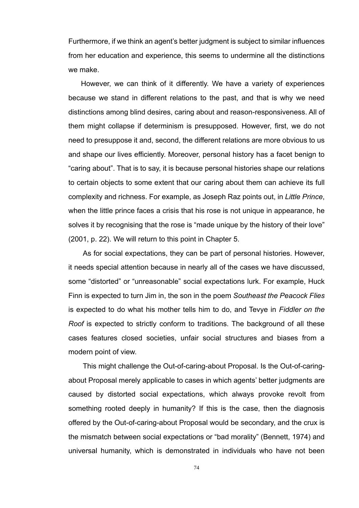Furthermore, if we think an agent's better judgment is subject to similar influences from her education and experience, this seems to undermine all the distinctions we make.

However, we can think of it differently. We have a variety of experiences because we stand in different relations to the past, and that is why we need distinctions among blind desires, caring about and reason-responsiveness. All of them might collapse if determinism is presupposed. However, first, we do not need to presuppose it and, second, the different relations are more obvious to us and shape our lives efficiently. Moreover, personal history has a facet benign to "caring about". That is to say, it is because personal histories shape our relations to certain objects to some extent that our caring about them can achieve its full complexity and richness. For example, as Joseph Raz points out, in *Little Prince*, when the little prince faces a crisis that his rose is not unique in appearance, he solves it by recognising that the rose is "made unique by the history of their love" (2001, p. 22). We will return to this point in Chapter 5.

As for social expectations, they can be part of personal histories. However, it needs special attention because in nearly all of the cases we have discussed, some "distorted" or "unreasonable" social expectations lurk. For example, Huck Finn is expected to turn Jim in, the son in the poem *Southeast the Peacock Flies* is expected to do what his mother tells him to do, and Tevye in *Fiddler on the Roof* is expected to strictly conform to traditions. The background of all these cases features closed societies, unfair social structures and biases from a modern point of view.

This might challenge the Out-of-caring-about Proposal. Is the Out-of-caringabout Proposal merely applicable to cases in which agents' better judgments are caused by distorted social expectations, which always provoke revolt from something rooted deeply in humanity? If this is the case, then the diagnosis offered by the Out-of-caring-about Proposal would be secondary, and the crux is the mismatch between social expectations or "bad morality" (Bennett, 1974) and universal humanity, which is demonstrated in individuals who have not been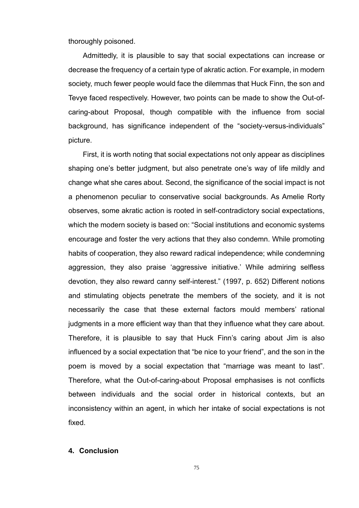thoroughly poisoned.

Admittedly, it is plausible to say that social expectations can increase or decrease the frequency of a certain type of akratic action. For example, in modern society, much fewer people would face the dilemmas that Huck Finn, the son and Tevye faced respectively. However, two points can be made to show the Out-ofcaring-about Proposal, though compatible with the influence from social background, has significance independent of the "society-versus-individuals" picture.

First, it is worth noting that social expectations not only appear as disciplines shaping one's better judgment, but also penetrate one's way of life mildly and change what she cares about. Second, the significance of the social impact is not a phenomenon peculiar to conservative social backgrounds. As Amelie Rorty observes, some akratic action is rooted in self-contradictory social expectations, which the modern society is based on: "Social institutions and economic systems encourage and foster the very actions that they also condemn. While promoting habits of cooperation, they also reward radical independence; while condemning aggression, they also praise 'aggressive initiative.' While admiring selfless devotion, they also reward canny self-interest." (1997, p. 652) Different notions and stimulating objects penetrate the members of the society, and it is not necessarily the case that these external factors mould members' rational judgments in a more efficient way than that they influence what they care about. Therefore, it is plausible to say that Huck Finn's caring about Jim is also influenced by a social expectation that "be nice to your friend", and the son in the poem is moved by a social expectation that "marriage was meant to last". Therefore, what the Out-of-caring-about Proposal emphasises is not conflicts between individuals and the social order in historical contexts, but an inconsistency within an agent, in which her intake of social expectations is not fixed.

### **4. Conclusion**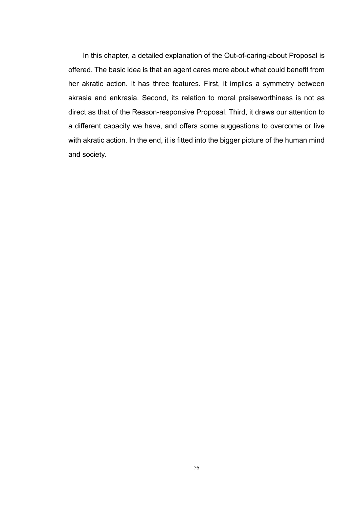In this chapter, a detailed explanation of the Out-of-caring-about Proposal is offered. The basic idea is that an agent cares more about what could benefit from her akratic action. It has three features. First, it implies a symmetry between akrasia and enkrasia. Second, its relation to moral praiseworthiness is not as direct as that of the Reason-responsive Proposal. Third, it draws our attention to a different capacity we have, and offers some suggestions to overcome or live with akratic action. In the end, it is fitted into the bigger picture of the human mind and society.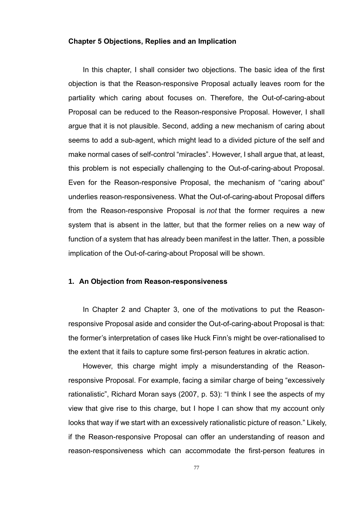### **Chapter 5 Objections, Replies and an Implication**

In this chapter, I shall consider two objections. The basic idea of the first objection is that the Reason-responsive Proposal actually leaves room for the partiality which caring about focuses on. Therefore, the Out-of-caring-about Proposal can be reduced to the Reason-responsive Proposal. However, I shall argue that it is not plausible. Second, adding a new mechanism of caring about seems to add a sub-agent, which might lead to a divided picture of the self and make normal cases of self-control "miracles". However, I shall argue that, at least, this problem is not especially challenging to the Out-of-caring-about Proposal. Even for the Reason-responsive Proposal, the mechanism of "caring about" underlies reason-responsiveness. What the Out-of-caring-about Proposal differs from the Reason-responsive Proposal is *not* that the former requires a new system that is absent in the latter, but that the former relies on a new way of function of a system that has already been manifest in the latter. Then, a possible implication of the Out-of-caring-about Proposal will be shown.

# **1. An Objection from Reason-responsiveness**

In Chapter 2 and Chapter 3, one of the motivations to put the Reasonresponsive Proposal aside and consider the Out-of-caring-about Proposal is that: the former's interpretation of cases like Huck Finn's might be over-rationalised to the extent that it fails to capture some first-person features in akratic action.

However, this charge might imply a misunderstanding of the Reasonresponsive Proposal. For example, facing a similar charge of being "excessively rationalistic", Richard Moran says (2007, p. 53): "I think I see the aspects of my view that give rise to this charge, but I hope I can show that my account only looks that way if we start with an excessively rationalistic picture of reason." Likely, if the Reason-responsive Proposal can offer an understanding of reason and reason-responsiveness which can accommodate the first-person features in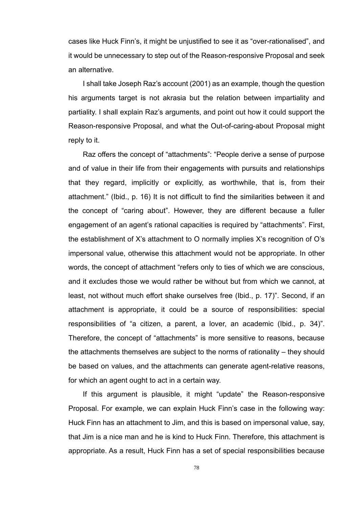cases like Huck Finn's, it might be unjustified to see it as "over-rationalised", and it would be unnecessary to step out of the Reason-responsive Proposal and seek an alternative.

I shall take Joseph Raz's account (2001) as an example, though the question his arguments target is not akrasia but the relation between impartiality and partiality. I shall explain Raz's arguments, and point out how it could support the Reason-responsive Proposal, and what the Out-of-caring-about Proposal might reply to it.

Raz offers the concept of "attachments": "People derive a sense of purpose and of value in their life from their engagements with pursuits and relationships that they regard, implicitly or explicitly, as worthwhile, that is, from their attachment." (Ibid., p. 16) It is not difficult to find the similarities between it and the concept of "caring about". However, they are different because a fuller engagement of an agent's rational capacities is required by "attachments". First, the establishment of X's attachment to O normally implies X's recognition of O's impersonal value, otherwise this attachment would not be appropriate. In other words, the concept of attachment "refers only to ties of which we are conscious, and it excludes those we would rather be without but from which we cannot, at least, not without much effort shake ourselves free (Ibid., p. 17)". Second, if an attachment is appropriate, it could be a source of responsibilities: special responsibilities of "a citizen, a parent, a lover, an academic (Ibid., p. 34)". Therefore, the concept of "attachments" is more sensitive to reasons, because the attachments themselves are subject to the norms of rationality – they should be based on values, and the attachments can generate agent-relative reasons, for which an agent ought to act in a certain way.

If this argument is plausible, it might "update" the Reason-responsive Proposal. For example, we can explain Huck Finn's case in the following way: Huck Finn has an attachment to Jim, and this is based on impersonal value, say, that Jim is a nice man and he is kind to Huck Finn. Therefore, this attachment is appropriate. As a result, Huck Finn has a set of special responsibilities because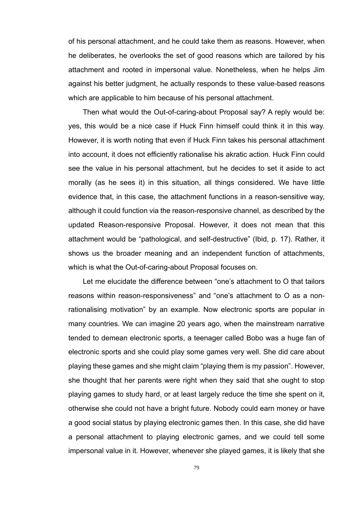of his personal attachment, and he could take them as reasons. However, when he deliberates, he overlooks the set of good reasons which are tailored by his attachment and rooted in impersonal value. Nonetheless, when he helps Jim against his better judgment, he actually responds to these value-based reasons which are applicable to him because of his personal attachment.

Then what would the Out-of-caring-about Proposal say? A reply would be: yes, this would be a nice case if Huck Finn himself could think it in this way. However, it is worth noting that even if Huck Finn takes his personal attachment into account, it does not efficiently rationalise his akratic action. Huck Finn could see the value in his personal attachment, but he decides to set it aside to act morally (as he sees it) in this situation, all things considered. We have little evidence that, in this case, the attachment functions in a reason-sensitive way, although it could function via the reason-responsive channel, as described by the updated Reason-responsive Proposal. However, it does not mean that this attachment would be "pathological, and self-destructive" (Ibid, p. 17). Rather, it shows us the broader meaning and an independent function of attachments, which is what the Out-of-caring-about Proposal focuses on.

Let me elucidate the difference between "one's attachment to O that tailors reasons within reason-responsiveness" and "one's attachment to O as a nonrationalising motivation" by an example. Now electronic sports are popular in many countries. We can imagine 20 years ago, when the mainstream narrative tended to demean electronic sports, a teenager called Bobo was a huge fan of electronic sports and she could play some games very well. She did care about playing these games and she might claim "playing them is my passion". However, she thought that her parents were right when they said that she ought to stop playing games to study hard, or at least largely reduce the time she spent on it, otherwise she could not have a bright future. Nobody could earn money or have a good social status by playing electronic games then. In this case, she did have a personal attachment to playing electronic games, and we could tell some impersonal value in it. However, whenever she played games, it is likely that she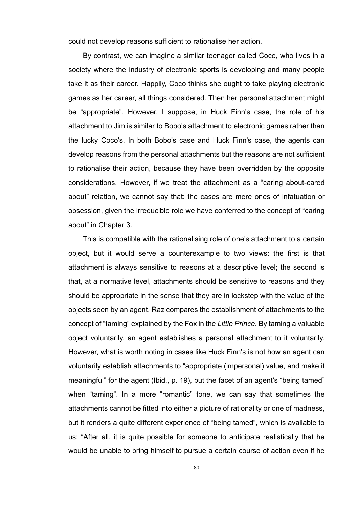could not develop reasons sufficient to rationalise her action.

By contrast, we can imagine a similar teenager called Coco, who lives in a society where the industry of electronic sports is developing and many people take it as their career. Happily, Coco thinks she ought to take playing electronic games as her career, all things considered. Then her personal attachment might be "appropriate". However, I suppose, in Huck Finn's case, the role of his attachment to Jim is similar to Bobo's attachment to electronic games rather than the lucky Coco's. In both Bobo's case and Huck Finn's case, the agents can develop reasons from the personal attachments but the reasons are not sufficient to rationalise their action, because they have been overridden by the opposite considerations. However, if we treat the attachment as a "caring about-cared about" relation, we cannot say that: the cases are mere ones of infatuation or obsession, given the irreducible role we have conferred to the concept of "caring about" in Chapter 3.

This is compatible with the rationalising role of one's attachment to a certain object, but it would serve a counterexample to two views: the first is that attachment is always sensitive to reasons at a descriptive level; the second is that, at a normative level, attachments should be sensitive to reasons and they should be appropriate in the sense that they are in lockstep with the value of the objects seen by an agent. Raz compares the establishment of attachments to the concept of "taming" explained by the Fox in the *Little Prince*. By taming a valuable object voluntarily, an agent establishes a personal attachment to it voluntarily. However, what is worth noting in cases like Huck Finn's is not how an agent can voluntarily establish attachments to "appropriate (impersonal) value, and make it meaningful" for the agent (Ibid., p. 19), but the facet of an agent's "being tamed" when "taming". In a more "romantic" tone, we can say that sometimes the attachments cannot be fitted into either a picture of rationality or one of madness, but it renders a quite different experience of "being tamed", which is available to us: "After all, it is quite possible for someone to anticipate realistically that he would be unable to bring himself to pursue a certain course of action even if he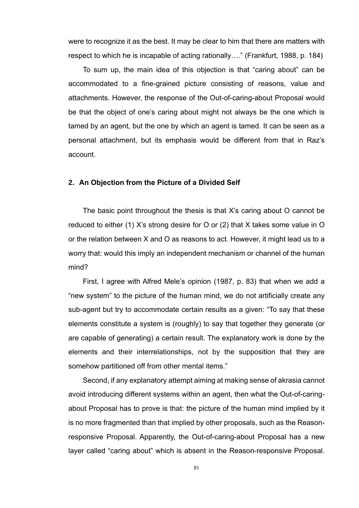were to recognize it as the best. It may be clear to him that there are matters with respect to which he is incapable of acting rationally…." (Frankfurt, 1988, p. 184)

To sum up, the main idea of this objection is that "caring about" can be accommodated to a fine-grained picture consisting of reasons, value and attachments. However, the response of the Out-of-caring-about Proposal would be that the object of one's caring about might not always be the one which is tamed by an agent, but the one by which an agent is tamed. It can be seen as a personal attachment, but its emphasis would be different from that in Raz's account.

### **2. An Objection from the Picture of a Divided Self**

The basic point throughout the thesis is that X's caring about O cannot be reduced to either (1) X's strong desire for O or (2) that X takes some value in O or the relation between X and O as reasons to act. However, it might lead us to a worry that: would this imply an independent mechanism or channel of the human mind?

First, I agree with Alfred Mele's opinion (1987, p. 83) that when we add a "new system" to the picture of the human mind, we do not artificially create any sub-agent but try to accommodate certain results as a given: "To say that these elements constitute a system is (roughly) to say that together they generate (or are capable of generating) a certain result. The explanatory work is done by the elements and their interrelationships, not by the supposition that they are somehow partitioned off from other mental items."

Second, if any explanatory attempt aiming at making sense of akrasia cannot avoid introducing different systems within an agent, then what the Out-of-caringabout Proposal has to prove is that: the picture of the human mind implied by it is no more fragmented than that implied by other proposals, such as the Reasonresponsive Proposal. Apparently, the Out-of-caring-about Proposal has a new layer called "caring about" which is absent in the Reason-responsive Proposal.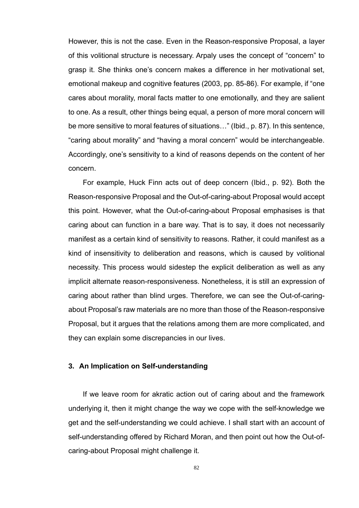However, this is not the case. Even in the Reason-responsive Proposal, a layer of this volitional structure is necessary. Arpaly uses the concept of "concern" to grasp it. She thinks one's concern makes a difference in her motivational set, emotional makeup and cognitive features (2003, pp. 85-86). For example, if "one cares about morality, moral facts matter to one emotionally, and they are salient to one. As a result, other things being equal, a person of more moral concern will be more sensitive to moral features of situations…" (Ibid., p. 87). In this sentence, "caring about morality" and "having a moral concern" would be interchangeable. Accordingly, one's sensitivity to a kind of reasons depends on the content of her concern.

For example, Huck Finn acts out of deep concern (Ibid., p. 92). Both the Reason-responsive Proposal and the Out-of-caring-about Proposal would accept this point. However, what the Out-of-caring-about Proposal emphasises is that caring about can function in a bare way. That is to say, it does not necessarily manifest as a certain kind of sensitivity to reasons. Rather, it could manifest as a kind of insensitivity to deliberation and reasons, which is caused by volitional necessity. This process would sidestep the explicit deliberation as well as any implicit alternate reason-responsiveness. Nonetheless, it is still an expression of caring about rather than blind urges. Therefore, we can see the Out-of-caringabout Proposal's raw materials are no more than those of the Reason-responsive Proposal, but it argues that the relations among them are more complicated, and they can explain some discrepancies in our lives.

# **3. An Implication on Self-understanding**

If we leave room for akratic action out of caring about and the framework underlying it, then it might change the way we cope with the self-knowledge we get and the self-understanding we could achieve. I shall start with an account of self-understanding offered by Richard Moran, and then point out how the Out-ofcaring-about Proposal might challenge it.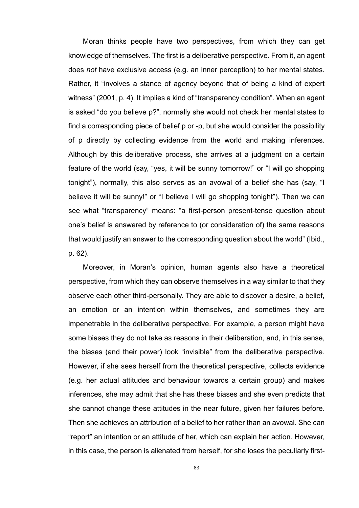Moran thinks people have two perspectives, from which they can get knowledge of themselves. The first is a deliberative perspective. From it, an agent does *not* have exclusive access (e.g. an inner perception) to her mental states. Rather, it "involves a stance of agency beyond that of being a kind of expert witness" (2001, p. 4). It implies a kind of "transparency condition". When an agent is asked "do you believe p?", normally she would not check her mental states to find a corresponding piece of belief p or -p, but she would consider the possibility of p directly by collecting evidence from the world and making inferences. Although by this deliberative process, she arrives at a judgment on a certain feature of the world (say, "yes, it will be sunny tomorrow!" or "I will go shopping tonight"), normally, this also serves as an avowal of a belief she has (say, "I believe it will be sunny!" or "I believe I will go shopping tonight"). Then we can see what "transparency" means: "a first-person present-tense question about one's belief is answered by reference to (or consideration of) the same reasons that would justify an answer to the corresponding question about the world" (Ibid., p. 62).

Moreover, in Moran's opinion, human agents also have a theoretical perspective, from which they can observe themselves in a way similar to that they observe each other third-personally. They are able to discover a desire, a belief, an emotion or an intention within themselves, and sometimes they are impenetrable in the deliberative perspective. For example, a person might have some biases they do not take as reasons in their deliberation, and, in this sense, the biases (and their power) look "invisible" from the deliberative perspective. However, if she sees herself from the theoretical perspective, collects evidence (e.g. her actual attitudes and behaviour towards a certain group) and makes inferences, she may admit that she has these biases and she even predicts that she cannot change these attitudes in the near future, given her failures before. Then she achieves an attribution of a belief to her rather than an avowal. She can "report" an intention or an attitude of her, which can explain her action. However, in this case, the person is alienated from herself, for she loses the peculiarly first-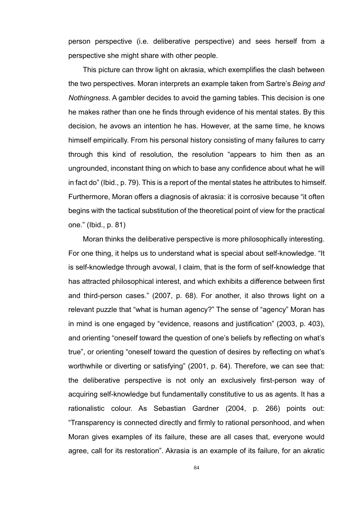person perspective (i.e. deliberative perspective) and sees herself from a perspective she might share with other people.

This picture can throw light on akrasia, which exemplifies the clash between the two perspectives. Moran interprets an example taken from Sartre's *Being and Nothingness*. A gambler decides to avoid the gaming tables. This decision is one he makes rather than one he finds through evidence of his mental states. By this decision, he avows an intention he has. However, at the same time, he knows himself empirically. From his personal history consisting of many failures to carry through this kind of resolution, the resolution "appears to him then as an ungrounded, inconstant thing on which to base any confidence about what he will in fact do" (Ibid., p. 79). This is a report of the mental states he attributes to himself. Furthermore, Moran offers a diagnosis of akrasia: it is corrosive because "it often begins with the tactical substitution of the theoretical point of view for the practical one." (Ibid., p. 81)

Moran thinks the deliberative perspective is more philosophically interesting. For one thing, it helps us to understand what is special about self-knowledge. "It is self-knowledge through avowal, I claim, that is the form of self-knowledge that has attracted philosophical interest, and which exhibits a difference between first and third-person cases." (2007, p. 68). For another, it also throws light on a relevant puzzle that "what is human agency?" The sense of "agency" Moran has in mind is one engaged by "evidence, reasons and justification" (2003, p. 403), and orienting "oneself toward the question of one's beliefs by reflecting on what's true", or orienting "oneself toward the question of desires by reflecting on what's worthwhile or diverting or satisfying" (2001, p. 64). Therefore, we can see that: the deliberative perspective is not only an exclusively first-person way of acquiring self-knowledge but fundamentally constitutive to us as agents. It has a rationalistic colour. As Sebastian Gardner (2004, p. 266) points out: "Transparency is connected directly and firmly to rational personhood, and when Moran gives examples of its failure, these are all cases that, everyone would agree, call for its restoration". Akrasia is an example of its failure, for an akratic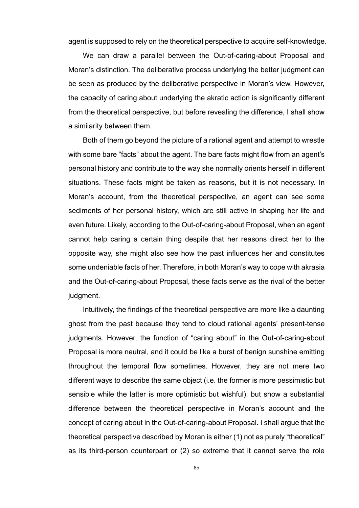agent is supposed to rely on the theoretical perspective to acquire self-knowledge.

We can draw a parallel between the Out-of-caring-about Proposal and Moran's distinction. The deliberative process underlying the better judgment can be seen as produced by the deliberative perspective in Moran's view. However, the capacity of caring about underlying the akratic action is significantly different from the theoretical perspective, but before revealing the difference, I shall show a similarity between them.

Both of them go beyond the picture of a rational agent and attempt to wrestle with some bare "facts" about the agent. The bare facts might flow from an agent's personal history and contribute to the way she normally orients herself in different situations. These facts might be taken as reasons, but it is not necessary. In Moran's account, from the theoretical perspective, an agent can see some sediments of her personal history, which are still active in shaping her life and even future. Likely, according to the Out-of-caring-about Proposal, when an agent cannot help caring a certain thing despite that her reasons direct her to the opposite way, she might also see how the past influences her and constitutes some undeniable facts of her. Therefore, in both Moran's way to cope with akrasia and the Out-of-caring-about Proposal, these facts serve as the rival of the better judgment.

Intuitively, the findings of the theoretical perspective are more like a daunting ghost from the past because they tend to cloud rational agents' present-tense judgments. However, the function of "caring about" in the Out-of-caring-about Proposal is more neutral, and it could be like a burst of benign sunshine emitting throughout the temporal flow sometimes. However, they are not mere two different ways to describe the same object (i.e. the former is more pessimistic but sensible while the latter is more optimistic but wishful), but show a substantial difference between the theoretical perspective in Moran's account and the concept of caring about in the Out-of-caring-about Proposal. I shall argue that the theoretical perspective described by Moran is either (1) not as purely "theoretical" as its third-person counterpart or (2) so extreme that it cannot serve the role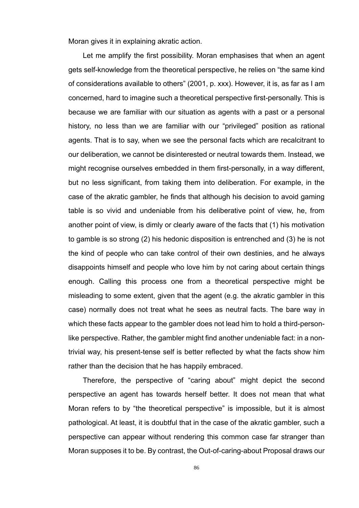Moran gives it in explaining akratic action.

Let me amplify the first possibility. Moran emphasises that when an agent gets self-knowledge from the theoretical perspective, he relies on "the same kind of considerations available to others" (2001, p. xxx). However, it is, as far as I am concerned, hard to imagine such a theoretical perspective first-personally. This is because we are familiar with our situation as agents with a past or a personal history, no less than we are familiar with our "privileged" position as rational agents. That is to say, when we see the personal facts which are recalcitrant to our deliberation, we cannot be disinterested or neutral towards them. Instead, we might recognise ourselves embedded in them first-personally, in a way different, but no less significant, from taking them into deliberation. For example, in the case of the akratic gambler, he finds that although his decision to avoid gaming table is so vivid and undeniable from his deliberative point of view, he, from another point of view, is dimly or clearly aware of the facts that (1) his motivation to gamble is so strong (2) his hedonic disposition is entrenched and (3) he is not the kind of people who can take control of their own destinies, and he always disappoints himself and people who love him by not caring about certain things enough. Calling this process one from a theoretical perspective might be misleading to some extent, given that the agent (e.g. the akratic gambler in this case) normally does not treat what he sees as neutral facts. The bare way in which these facts appear to the gambler does not lead him to hold a third-personlike perspective. Rather, the gambler might find another undeniable fact: in a nontrivial way, his present-tense self is better reflected by what the facts show him rather than the decision that he has happily embraced.

Therefore, the perspective of "caring about" might depict the second perspective an agent has towards herself better. It does not mean that what Moran refers to by "the theoretical perspective" is impossible, but it is almost pathological. At least, it is doubtful that in the case of the akratic gambler, such a perspective can appear without rendering this common case far stranger than Moran supposes it to be. By contrast, the Out-of-caring-about Proposal draws our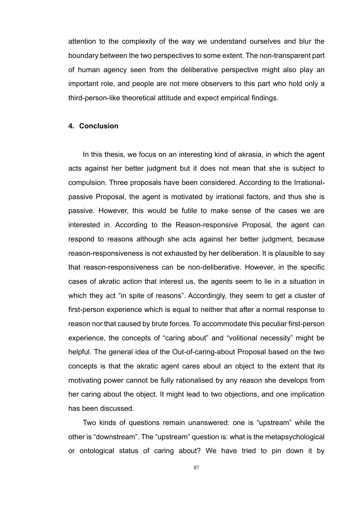attention to the complexity of the way we understand ourselves and blur the boundary between the two perspectives to some extent. The non-transparent part of human agency seen from the deliberative perspective might also play an important role, and people are not mere observers to this part who hold only a third-person-like theoretical attitude and expect empirical findings.

### **4. Conclusion**

In this thesis, we focus on an interesting kind of akrasia, in which the agent acts against her better judgment but it does not mean that she is subject to compulsion. Three proposals have been considered. According to the Irrationalpassive Proposal, the agent is motivated by irrational factors, and thus she is passive. However, this would be futile to make sense of the cases we are interested in. According to the Reason-responsive Proposal, the agent can respond to reasons although she acts against her better judgment, because reason-responsiveness is not exhausted by her deliberation. It is plausible to say that reason-responsiveness can be non-deliberative. However, in the specific cases of akratic action that interest us, the agents seem to lie in a situation in which they act "in spite of reasons". Accordingly, they seem to get a cluster of first-person experience which is equal to neither that after a normal response to reason nor that caused by brute forces. To accommodate this peculiar first-person experience, the concepts of "caring about" and "volitional necessity" might be helpful. The general idea of the Out-of-caring-about Proposal based on the two concepts is that the akratic agent cares about an object to the extent that its motivating power cannot be fully rationalised by any reason she develops from her caring about the object. It might lead to two objections, and one implication has been discussed.

Two kinds of questions remain unanswered: one is "upstream" while the other is "downstream". The "upstream" question is: what is the metapsychological or ontological status of caring about? We have tried to pin down it by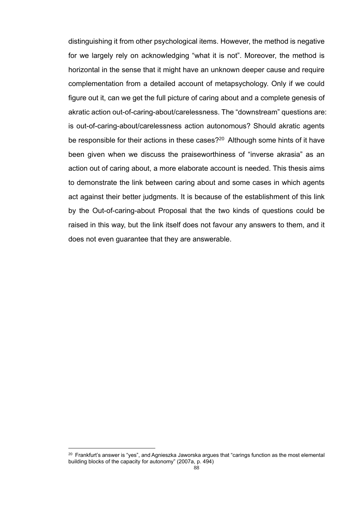distinguishing it from other psychological items. However, the method is negative for we largely rely on acknowledging "what it is not". Moreover, the method is horizontal in the sense that it might have an unknown deeper cause and require complementation from a detailed account of metapsychology. Only if we could figure out it, can we get the full picture of caring about and a complete genesis of akratic action out-of-caring-about/carelessness. The "downstream" questions are: is out-of-caring-about/carelessness action autonomous? Should akratic agents be responsible for their actions in these cases?<sup>20</sup> Although some hints of it have been given when we discuss the praiseworthiness of "inverse akrasia" as an action out of caring about, a more elaborate account is needed. This thesis aims to demonstrate the link between caring about and some cases in which agents act against their better judgments. It is because of the establishment of this link by the Out-of-caring-about Proposal that the two kinds of questions could be raised in this way, but the link itself does not favour any answers to them, and it does not even guarantee that they are answerable.

 $20$  Frankfurt's answer is "yes", and Agnieszka Jaworska argues that "carings function as the most elemental building blocks of the capacity for autonomy" (2007a, p. 494)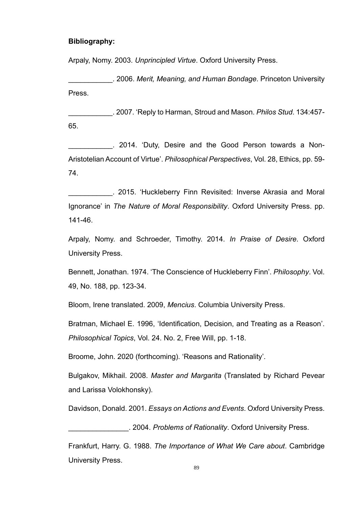### **Bibliography:**

Arpaly, Nomy. 2003. *Unprincipled Virtue*. Oxford University Press.

\_\_\_\_\_\_\_\_\_\_\_. 2006. *Merit, Meaning, and Human Bondage*. Princeton University Press.

\_\_\_\_\_\_\_\_\_\_\_. 2007. 'Reply to Harman, Stroud and Mason. *Philos Stud*. 134:457- 65.

. 2014. 'Duty, Desire and the Good Person towards a Non-Aristotelian Account of Virtue'. *Philosophical Perspectives*, Vol. 28, Ethics, pp. 59- 74.

\_\_\_\_\_\_\_\_\_\_\_. 2015. 'Huckleberry Finn Revisited: Inverse Akrasia and Moral Ignorance' in *The Nature of Moral Responsibility*. Oxford University Press. pp. 141-46.

Arpaly, Nomy. and Schroeder, Timothy. 2014. *In Praise of Desire*. Oxford University Press.

Bennett, Jonathan. 1974. 'The Conscience of Huckleberry Finn'. *Philosophy*. Vol. 49, No. 188, pp. 123-34.

Bloom, Irene translated. 2009, *Mencius*. Columbia University Press.

Bratman, Michael E. 1996, 'Identification, Decision, and Treating as a Reason'. *Philosophical Topics*, Vol. 24. No. 2, Free Will, pp. 1-18.

Broome, John. 2020 (forthcoming). 'Reasons and Rationality'.

Bulgakov, Mikhail. 2008. *Master and Margarita* (Translated by Richard Pevear and Larissa Volokhonsky).

Davidson, Donald. 2001. *Essays on Actions and Events*. Oxford University Press.

\_\_\_\_\_\_\_\_\_\_\_\_\_\_\_. 2004. *Problems of Rationality*. Oxford University Press.

Frankfurt, Harry. G. 1988. *The Importance of What We Care about*. Cambridge University Press.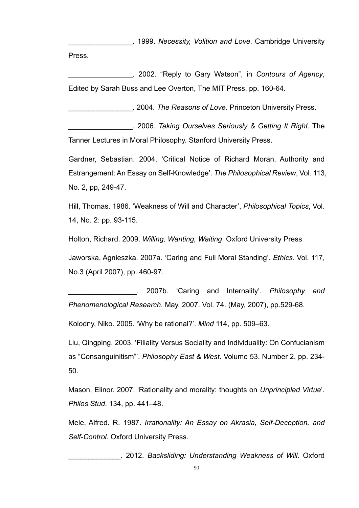\_\_\_\_\_\_\_\_\_\_\_\_\_\_\_\_. 1999. *Necessity, Volition and Love*. Cambridge University Press.

\_\_\_\_\_\_\_\_\_\_\_\_\_\_\_\_. 2002. "Reply to Gary Watson", in *Contours of Agency*, Edited by Sarah Buss and Lee Overton, The MIT Press, pp. 160-64.

\_\_\_\_\_\_\_\_\_\_\_\_\_\_\_\_. 2004. *The Reasons of Love*. Princeton University Press.

\_\_\_\_\_\_\_\_\_\_\_\_\_\_\_\_. 2006. *Taking Ourselves Seriously & Getting It Right*. The Tanner Lectures in Moral Philosophy. Stanford University Press.

Gardner, Sebastian. 2004. 'Critical Notice of Richard Moran, Authority and Estrangement: An Essay on Self-Knowledge'. *The Philosophical Review*, Vol. 113, No. 2, pp, 249-47.

Hill, Thomas. 1986. 'Weakness of Will and Character', *Philosophical Topics*, Vol. 14, No. 2: pp. 93-115.

Holton, Richard. 2009. *Willing, Wanting, Waiting*. Oxford University Press

Jaworska, Agnieszka. 2007a. 'Caring and Full Moral Standing'. *Ethics*. Vol. 117, No.3 (April 2007), pp. 460-97.

\_\_\_\_\_\_\_\_\_\_\_\_\_\_\_\_\_. 2007b. 'Caring and Internality'. *Philosophy and Phenomenological Research*. May. 2007. Vol. 74. (May, 2007), pp.529-68.

Kolodny, Niko. 2005. 'Why be rational?'. *Mind* 114, pp. 509–63.

Liu, Qingping. 2003. 'Filiality Versus Sociality and Individuality: On Confucianism as "Consanguinitism"'. *Philosophy East & West*. Volume 53. Number 2, pp. 234- 50.

Mason, Elinor. 2007. 'Rationality and morality: thoughts on *Unprincipled Virtue*'. *Philos Stud*. 134, pp. 441–48.

Mele, Alfred. R. 1987. *Irrationality: An Essay on Akrasia, Self-Deception, and Self-Control*. Oxford University Press.

\_\_\_\_\_\_\_\_\_\_\_\_\_. 2012. *Backsliding: Understanding Weakness of Will*. Oxford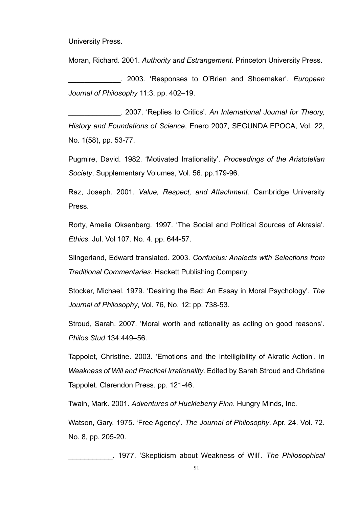University Press.

Moran, Richard. 2001. *Authority and Estrangement.* Princeton University Press.

\_\_\_\_\_\_\_\_\_\_\_\_\_. 2003. 'Responses to O'Brien and Shoemaker'. *European Journal of Philosophy* 11:3. pp. 402–19.

\_\_\_\_\_\_\_\_\_\_\_\_\_. 2007. 'Replies to Critics'. *An International Journal for Theory, History and Foundations of Science*, Enero 2007, SEGUNDA EPOCA, Vol. 22, No. 1(58), pp. 53-77.

Pugmire, David. 1982. 'Motivated Irrationality'. *Proceedings of the Aristotelian Society*, Supplementary Volumes, Vol. 56. pp.179-96.

Raz, Joseph. 2001. *Value, Respect, and Attachment*. Cambridge University Press.

Rorty, Amelie Oksenberg. 1997. 'The Social and Political Sources of Akrasia'. *Ethics*. Jul. Vol 107. No. 4. pp. 644-57.

Slingerland, Edward translated. 2003. *Confucius: Analects with Selections from Traditional Commentaries*. Hackett Publishing Company.

Stocker, Michael. 1979. 'Desiring the Bad: An Essay in Moral Psychology'. *The Journal of Philosophy*, Vol. 76, No. 12: pp. 738-53.

Stroud, Sarah. 2007. 'Moral worth and rationality as acting on good reasons'. *Philos Stud* 134:449–56.

Tappolet, Christine. 2003. 'Emotions and the Intelligibility of Akratic Action'. in *Weakness of Will and Practical Irrationality*. Edited by Sarah Stroud and Christine Tappolet. Clarendon Press. pp. 121-46.

Twain, Mark. 2001. *Adventures of Huckleberry Finn*. Hungry Minds, Inc.

Watson, Gary. 1975. 'Free Agency'. *The Journal of Philosophy*. Apr. 24. Vol. 72. No. 8, pp. 205-20.

\_\_\_\_\_\_\_\_\_\_\_. 1977. 'Skepticism about Weakness of Will'. *The Philosophical*